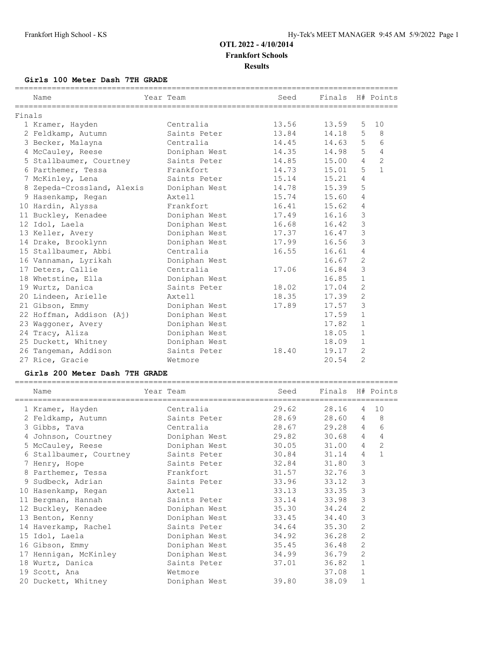## **Girls 100 Meter Dash 7TH GRADE**

|        |                            |               |       | Finals H# Points |                |                |
|--------|----------------------------|---------------|-------|------------------|----------------|----------------|
|        | Name                       | Year Team     | Seed  |                  |                |                |
| Finals |                            |               |       |                  |                |                |
|        | 1 Kramer, Hayden           | Centralia     | 13.56 | 13.59            | 5              | 10             |
|        | 2 Feldkamp, Autumn         | Saints Peter  | 13.84 | 14.18            | 5              | - 8            |
|        | 3 Becker, Malayna          | Centralia     | 14.45 | 14.63            | 5              | 6              |
|        | 4 McCauley, Reese          | Doniphan West | 14.35 | 14.98            | 5              | $\overline{4}$ |
|        | 5 Stallbaumer, Courtney    | Saints Peter  | 14.85 | 15.00            | $\overline{4}$ | $\overline{c}$ |
|        | 6 Parthemer, Tessa         | Frankfort     | 14.73 | 15.01            | 5              | $\mathbf{1}$   |
|        | 7 McKinley, Lena           | Saints Peter  | 15.14 | 15.21            | $\overline{4}$ |                |
|        | 8 Zepeda-Crossland, Alexis | Doniphan West | 14.78 | 15.39            | 5              |                |
|        | 9 Hasenkamp, Regan         | Axtell        | 15.74 | 15.60            | $\overline{4}$ |                |
|        | 10 Hardin, Alyssa          | Frankfort     | 16.41 | 15.62            | 4              |                |
|        | 11 Buckley, Kenadee        | Doniphan West | 17.49 | 16.16            | 3              |                |
|        | 12 Idol, Laela             | Doniphan West | 16.68 | 16.42            | $\mathfrak{Z}$ |                |
|        | 13 Keller, Avery           | Doniphan West | 17.37 | 16.47            | $\mathsf 3$    |                |
|        | 14 Drake, Brooklynn        | Doniphan West | 17.99 | 16.56            | 3              |                |
|        | 15 Stallbaumer, Abbi       | Centralia     | 16.55 | 16.61            | $\overline{4}$ |                |
|        | 16 Vannaman, Lyrikah       | Doniphan West |       | 16.67            | $\mathbf{2}$   |                |
|        | 17 Deters, Callie          | Centralia     | 17.06 | 16.84            | 3              |                |
|        | 18 Whetstine, Ella         | Doniphan West |       | 16.85            | $\mathbf{1}$   |                |
|        | 19 Wurtz, Danica           | Saints Peter  | 18.02 | 17.04            | $\overline{2}$ |                |
|        | 20 Lindeen, Arielle        | Axtell        | 18.35 | 17.39            | $\overline{2}$ |                |
|        | 21 Gibson, Emmy            | Doniphan West | 17.89 | 17.57            | $\mathfrak{Z}$ |                |
|        | 22 Hoffman, Addison (Aj)   | Doniphan West |       | 17.59            | $\mathbf{1}$   |                |
|        | 23 Waqqoner, Avery         | Doniphan West |       | 17.82            | $\mathbf{1}$   |                |
|        | 24 Tracy, Aliza            | Doniphan West |       | 18.05            | $\mathbf{1}$   |                |
|        | 25 Duckett, Whitney        | Doniphan West |       | 18.09            | $\mathbf{1}$   |                |
|        | 26 Tangeman, Addison       | Saints Peter  | 18.40 | 19.17            | 2              |                |
|        | 27 Rice, Gracie            | Wetmore       |       | 20.54            | $\overline{2}$ |                |

#### **Girls 200 Meter Dash 7TH GRADE**

| Name<br>=============================== | Year Team     | Seed  | Finals H# Points |                |                |
|-----------------------------------------|---------------|-------|------------------|----------------|----------------|
| 1 Kramer, Hayden                        | Centralia     | 29.62 | 28.16            | $\overline{4}$ | 10             |
| 2 Feldkamp, Autumn                      | Saints Peter  | 28.69 | 28.60            | $\overline{4}$ | 8              |
| 3 Gibbs, Tava                           | Centralia     | 28.67 | 29.28            | $\overline{4}$ | 6              |
| 4 Johnson, Courtney                     | Doniphan West | 29.82 | 30.68            | $\overline{4}$ | 4              |
| 5 McCauley, Reese                       | Doniphan West | 30.05 | 31.00            | $\overline{4}$ | $\overline{2}$ |
| 6 Stallbaumer, Courtney                 | Saints Peter  | 30.84 | 31.14            | $\overline{4}$ | $\mathbf{1}$   |
| 7 Henry, Hope                           | Saints Peter  | 32.84 | 31.80            | 3              |                |
| 8 Parthemer, Tessa                      | Frankfort     | 31.57 | 32.76            | 3              |                |
| 9 Sudbeck, Adrian                       | Saints Peter  | 33.96 | 33.12            | 3              |                |
| 10 Hasenkamp, Regan                     | Axtell        | 33.13 | 33.35            | 3              |                |
| 11 Bergman, Hannah                      | Saints Peter  | 33.14 | 33.98            | 3              |                |
| 12 Buckley, Kenadee                     | Doniphan West | 35.30 | 34.24            | $\overline{2}$ |                |
| 13 Benton, Kenny                        | Doniphan West | 33.45 | 34.40            | 3              |                |
| 14 Haverkamp, Rachel                    | Saints Peter  | 34.64 | 35.30            | 2              |                |
| 15 Idol, Laela                          | Doniphan West | 34.92 | 36.28            | $\overline{2}$ |                |
| 16 Gibson, Emmy                         | Doniphan West | 35.45 | 36.48            | $\overline{2}$ |                |
| 17 Hennigan, McKinley                   | Doniphan West | 34.99 | 36.79            | 2              |                |
| 18 Wurtz, Danica                        | Saints Peter  | 37.01 | 36.82            | $\mathbf{1}$   |                |
| 19 Scott, Ana                           | Wetmore       |       | 37.08            | $\mathbf{1}$   |                |
| 20 Duckett, Whitney                     | Doniphan West | 39.80 | 38.09            | $\mathbf{1}$   |                |
|                                         |               |       |                  |                |                |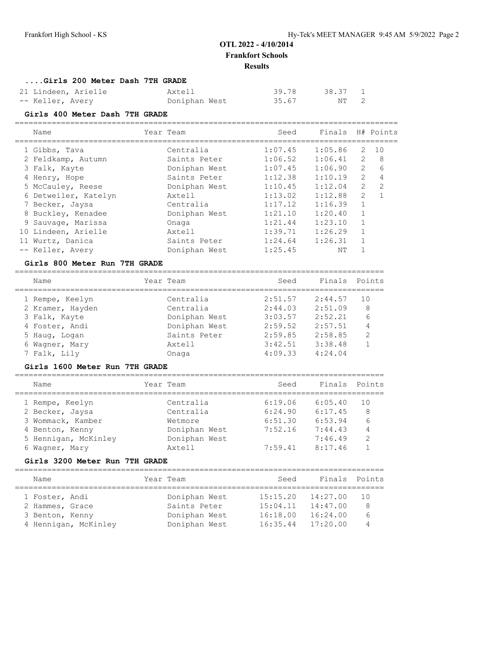**....Girls 200 Meter Dash 7TH GRADE**

| 21 Lindeen, Arielle | Axtell        | 39.78 | 38.37 1 |  |
|---------------------|---------------|-------|---------|--|
| -- Keller, Avery    | Doniphan West | 35.67 | NT 2    |  |

#### **Girls 400 Meter Dash 7TH GRADE**

=================================================================================== ad Finals H# Point

| Name                 | Year Team     | seed    | Finals  |                | H# Points      |
|----------------------|---------------|---------|---------|----------------|----------------|
| 1 Gibbs, Tava        | Centralia     | 1:07.45 | 1:05.86 | 2              | 10             |
| 2 Feldkamp, Autumn   | Saints Peter  | 1:06.52 | 1:06.41 | 2              | 8              |
| 3 Falk, Kayte        | Doniphan West | 1:07.45 | 1:06.90 | $\mathbf{2}$   | 6              |
| 4 Henry, Hope        | Saints Peter  | 1:12.38 | 1:10.19 | $\mathbf{2}$   | 4              |
| 5 McCauley, Reese    | Doniphan West | 1:10.45 | 1:12.04 | $\overline{2}$ | $\mathfrak{D}$ |
| 6 Detweiler, Katelyn | Axtell        | 1:13.02 | 1:12.88 | $\mathcal{L}$  |                |
| 7 Becker, Jaysa      | Centralia     | 1:17.12 | 1:16.39 | $\mathbf{1}$   |                |
| 8 Buckley, Kenadee   | Doniphan West | 1:21.10 | 1:20.40 | $\mathbf{1}$   |                |
| 9 Sauvage, Marissa   | Onaga         | 1:21.44 | 1:23.10 | 1              |                |
| 10 Lindeen, Arielle  | Axtell        | 1:39.71 | 1:26.29 | $\mathbf{1}$   |                |
| 11 Wurtz, Danica     | Saints Peter  | 1:24.64 | 1:26.31 |                |                |
| -- Keller, Avery     | Doniphan West | 1:25.45 | NΤ      |                |                |

#### **Girls 800 Meter Run 7TH GRADE**

================================================================================

| Name             | Year Team     | Seed    | Finals Points |    |
|------------------|---------------|---------|---------------|----|
| 1 Rempe, Keelyn  | Centralia     | 2:51.57 | 2:44.57       | 10 |
| 2 Kramer, Hayden | Centralia     | 2:44.03 | 2:51.09       | 8  |
| 3 Falk, Kayte    | Doniphan West | 3:03.57 | 2:52.21       | 6  |
| 4 Foster, Andi   | Doniphan West | 2:59.52 | 2:57.51       | 4  |
| 5 Haug, Logan    | Saints Peter  | 2:59.85 | 2:58.85       | 2  |
| 6 Wagner, Mary   | Axtell        | 3:42.51 | 3:38.48       |    |
| 7 Falk, Lily     | Onaga         | 4:09.33 | 4:24.04       |    |

#### **Girls 1600 Meter Run 7TH GRADE**

| Name                 | Year Team     | Seed    | Finals Points |     |
|----------------------|---------------|---------|---------------|-----|
| 1 Rempe, Keelyn      | Centralia     | 6:19.06 | 6:05.40       | 1 O |
| 2 Becker, Jaysa      | Centralia     | 6:24.90 | 6:17.45       | 8   |
| 3 Wommack, Kamber    | Wetmore       | 6:51.30 | 6:53.94       | 6   |
| 4 Benton, Kenny      | Doniphan West | 7:52.16 | 7:44.43       | 4   |
| 5 Hennigan, McKinley | Doniphan West |         | 7:46.49       | 2   |
| 6 Wagner, Mary       | Axtell        | 7:59.41 | 8:17.46       |     |
|                      |               |         |               |     |

#### **Girls 3200 Meter Run 7TH GRADE**

| Name            |                      |  | Year Team     |          | Seed | Finals Points |     |  |  |
|-----------------|----------------------|--|---------------|----------|------|---------------|-----|--|--|
| 1 Foster, Andi  |                      |  | Doniphan West | 15:15.20 |      | 14:27.00      | 1 N |  |  |
| 2 Hammes, Grace |                      |  | Saints Peter  | 15:04.11 |      | 14:47.00      | 8   |  |  |
| 3 Benton, Kenny |                      |  | Doniphan West | 16:18.00 |      | 16:24.00      | 6   |  |  |
|                 | 4 Hennigan, McKinley |  | Doniphan West | 16:35.44 |      | 17:20.00      | 4   |  |  |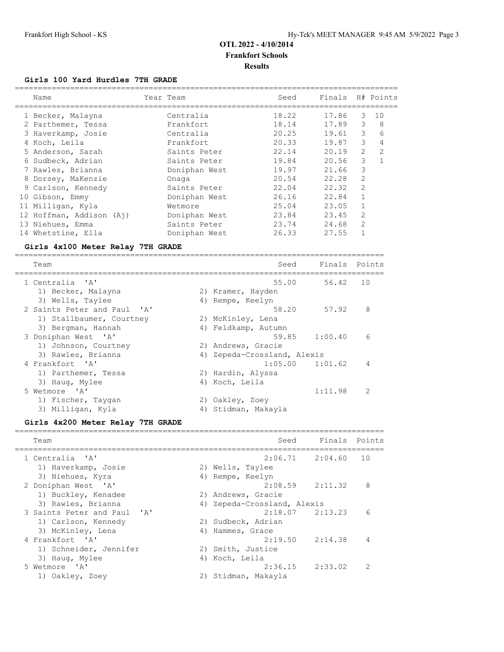## **Girls 100 Yard Hurdles 7TH GRADE**

| Name                     | Year Team     | Seed  | Finals |                | H# Points      |
|--------------------------|---------------|-------|--------|----------------|----------------|
| 1 Becker, Malayna        | Centralia     | 18.22 | 17.86  | 3              | 10             |
| 2 Parthemer, Tessa       | Frankfort     | 18.14 | 17.89  | 3              | 8              |
| 3 Haverkamp, Josie       | Centralia     | 20.25 | 19.61  | 3              | 6              |
| 4 Koch, Leila            | Frankfort     | 20.33 | 19.87  | 3              | 4              |
| 5 Anderson, Sarah        | Saints Peter  | 22.14 | 20.19  | $\overline{2}$ | $\mathfrak{D}$ |
| 6 Sudbeck, Adrian        | Saints Peter  | 19.84 | 20.56  | 3              | $\mathbf{1}$   |
| 7 Rawles, Brianna        | Doniphan West | 19.97 | 21.66  | 3              |                |
| 8 Dorsey, MaKenzie       | Onaga         | 20.54 | 22.28  | $\mathfrak{D}$ |                |
| 9 Carlson, Kennedy       | Saints Peter  | 22.04 | 22.32  | $\mathfrak{D}$ |                |
| 10 Gibson, Emmy          | Doniphan West | 26.16 | 22.84  | $\mathbf{1}$   |                |
| 11 Milligan, Kyla        | Wetmore       | 25.04 | 23.05  | $\mathbf{1}$   |                |
| 12 Hoffman, Addison (Aj) | Doniphan West | 23.84 | 23.45  | 2              |                |
| 13 Niehues, Emma         | Saints Peter  | 23.74 | 24.68  | $\mathfrak{D}$ |                |
| 14 Whetstine, Ella       | Doniphan West | 26.33 | 27.55  |                |                |
|                          |               |       |        |                |                |

## **Girls 4x100 Meter Relay 7TH GRADE**

| Team                        | Seed                        | Finals Points |                |
|-----------------------------|-----------------------------|---------------|----------------|
| 1 Centralia 'A'             | 55.00                       | 56.42         | 10             |
| 1) Becker, Malayna          | 2) Kramer, Hayden           |               |                |
| 3) Wells, Taylee            | 4) Rempe, Keelyn            |               |                |
| 2 Saints Peter and Paul 'A' | 58.20                       | 57.92         | 8              |
| 1) Stallbaumer, Courtney    | 2) McKinley, Lena           |               |                |
| 3) Bergman, Hannah          | 4) Feldkamp, Autumn         |               |                |
| 3 Doniphan West 'A'         | 59.85                       | 1:00.40       | 6              |
| 1) Johnson, Courtney        | 2) Andrews, Gracie          |               |                |
| 3) Rawles, Brianna          | 4) Zepeda-Crossland, Alexis |               |                |
| 4 Frankfort, 'A'            | $1:05.00$ $1:01.62$         |               | 4              |
| 1) Parthemer, Tessa         | 2) Hardin, Alyssa           |               |                |
| 3) Haug, Mylee              | 4) Koch, Leila              |               |                |
| 5 Wetmore 'A'               |                             | 1:11.98       | $\mathfrak{D}$ |
| 1) Fischer, Taygan          | 2) Oakley, Zoey             |               |                |
| 3) Milligan, Kyla           | 4) Stidman, Makayla         |               |                |

## **Girls 4x200 Meter Relay 7TH GRADE**

| Team                        |    | Seed                        | Finals Points |               |
|-----------------------------|----|-----------------------------|---------------|---------------|
| 1 Centralia 'A'             |    | $2:06.71$ $2:04.60$         |               | 1 O           |
| 1) Haverkamp, Josie         |    | 2) Wells, Taylee            |               |               |
| 3) Niehues, Kyra            | 4) | Rempe, Keelyn               |               |               |
| 2 Doniphan West 'A'         |    | $2:08.59$ $2:11.32$         |               | 8             |
| 1) Buckley, Kenadee         |    | 2) Andrews, Gracie          |               |               |
| 3) Rawles, Brianna          |    | 4) Zepeda-Crossland, Alexis |               |               |
| 3 Saints Peter and Paul 'A' |    | $2:18.07$ $2:13.23$         |               | 6             |
| 1) Carlson, Kennedy         | 2) | Sudbeck, Adrian             |               |               |
| 3) McKinley, Lena           | 4) | Hammes, Grace               |               |               |
| 4 Frankfort 'A'             |    | $2:19.50$ $2:14.38$         |               | 4             |
| 1) Schneider, Jennifer      |    | 2) Smith, Justice           |               |               |
| 3) Haug, Mylee              | 4) | Koch, Leila                 |               |               |
| 5 Wetmore 'A'               |    | $2:36.15$ $2:33.02$         |               | $\mathcal{P}$ |
| 1) Oakley, Zoey             | 2) | Stidman, Makayla            |               |               |
|                             |    |                             |               |               |

================================================================================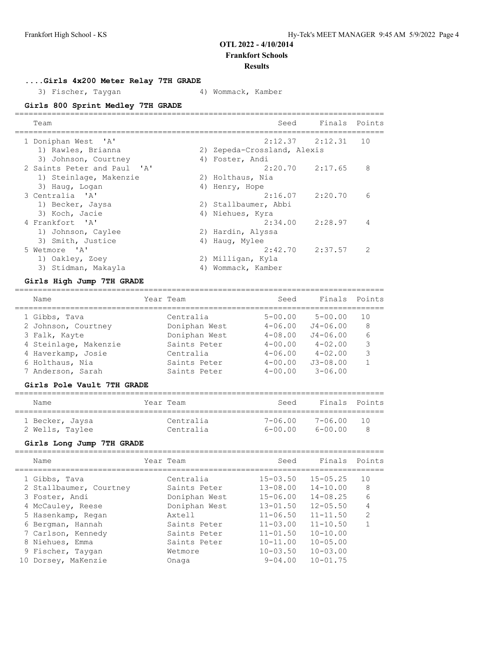## **OTL 2022 - 4/10/2014**

**Frankfort Schools**

#### **Results**

**....Girls 4x200 Meter Relay 7TH GRADE**

3) Fischer, Taygan (4) Wommack, Kamber

## **Girls 800 Sprint Medley 7TH GRADE**

| Team                        |    | Seed                        | Finals Points |               |
|-----------------------------|----|-----------------------------|---------------|---------------|
| 1 Doniphan West 'A'         |    | $2:12.37$ $2:12.31$         |               | 10            |
| 1) Rawles, Brianna          |    | 2) Zepeda-Crossland, Alexis |               |               |
| 3) Johnson, Courtney        |    | 4) Foster, Andi             |               |               |
| 2 Saints Peter and Paul 'A' |    | $2:20.70$ $2:17.65$         |               | 8             |
| 1) Steinlage, Makenzie      |    | 2) Holthaus, Nia            |               |               |
| 3) Haug, Logan              |    | 4) Henry, Hope              |               |               |
| 3 Centralia 'A'             |    | $2:16.07$ $2:20.70$         |               | 6             |
| 1) Becker, Jaysa            |    | 2) Stallbaumer, Abbi        |               |               |
| 3) Koch, Jacie              |    | 4) Niehues, Kyra            |               |               |
| 4 Frankfort 'A'             |    | 2:34.00                     | 2:28.97       | 4             |
| 1) Johnson, Caylee          |    | 2) Hardin, Alyssa           |               |               |
| 3) Smith, Justice           | 4) | Haug, Mylee                 |               |               |
| 5 Wetmore 'A'               |    | 2:42.70                     | 2:37.57       | $\mathcal{P}$ |
| 1) Oakley, Zoey             |    | 2) Milligan, Kyla           |               |               |
| 3) Stidman, Makayla         | 4) | Wommack, Kamber             |               |               |
|                             |    |                             |               |               |

#### **Girls High Jump 7TH GRADE**

| Name                  | Year Team     | Seed        | Finals       | Points |
|-----------------------|---------------|-------------|--------------|--------|
| 1 Gibbs, Tava         | Centralia     | $5 - 00.00$ | $5 - 00.00$  | 10     |
| 2 Johnson, Courtney   | Doniphan West | $4 - 06.00$ | $J4 - 06.00$ | 8      |
| 3 Falk, Kayte         | Doniphan West | $4 - 08.00$ | $J4 - 06.00$ | 6      |
| 4 Steinlage, Makenzie | Saints Peter  | $4 - 00.00$ | $4 - 02.00$  | 3      |
| 4 Haverkamp, Josie    | Centralia     | $4 - 06.00$ | $4 - 02.00$  | 3      |
| 6 Holthaus, Nia       | Saints Peter  | $4 - 00.00$ | $J3 - 08.00$ |        |
| 7 Anderson, Sarah     | Saints Peter  | $4 - 00.00$ | $3 - 06.00$  |        |
|                       |               |             |              |        |

#### **Girls Pole Vault 7TH GRADE**

| Name            | Year Team | Seed        | Finals Points |     |
|-----------------|-----------|-------------|---------------|-----|
| 1 Becker, Jaysa | Centralia | 7-06.00     | 7-06.00       | 1 N |
| 2 Wells, Taylee | Centralia | $6 - 00.00$ | $6 - 00.00$   |     |

## **Girls Long Jump 7TH GRADE**

|    | Name                                     | Year Team |                              | Seed                         | Finals                       | Points              |
|----|------------------------------------------|-----------|------------------------------|------------------------------|------------------------------|---------------------|
|    | 1 Gibbs, Tava<br>2 Stallbaumer, Courtney |           | Centralia<br>Saints Peter    | $15 - 03.50$<br>$13 - 08.00$ | $15 - 05.25$<br>$14 - 10.00$ | 10<br>8             |
|    | 3 Foster, Andi                           |           | Doniphan West                | $15 - 06.00$                 | $14 - 08.25$                 | 6                   |
|    | 4 McCauley, Reese<br>5 Hasenkamp, Regan  |           | Doniphan West<br>Axtell      | $13 - 01.50$<br>$11 - 06.50$ | $12 - 05.50$<br>$11 - 11.50$ | 4<br>$\mathfrak{D}$ |
|    | 6 Bergman, Hannah                        |           | Saints Peter                 | $11 - 03.00$                 | $11 - 10.50$                 |                     |
|    | 7 Carlson, Kennedy<br>8 Niehues, Emma    |           | Saints Peter<br>Saints Peter | $11 - 01.50$<br>$10 - 11.00$ | $10 - 10.00$<br>$10 - 05.00$ |                     |
|    | 9 Fischer, Taygan                        |           | Wetmore                      | $10 - 03.50$                 | $10 - 03.00$                 |                     |
| 10 | Dorsey, MaKenzie                         |           | Onaga                        | $9 - 04.00$                  | $10 - 01.75$                 |                     |
|    |                                          |           |                              |                              |                              |                     |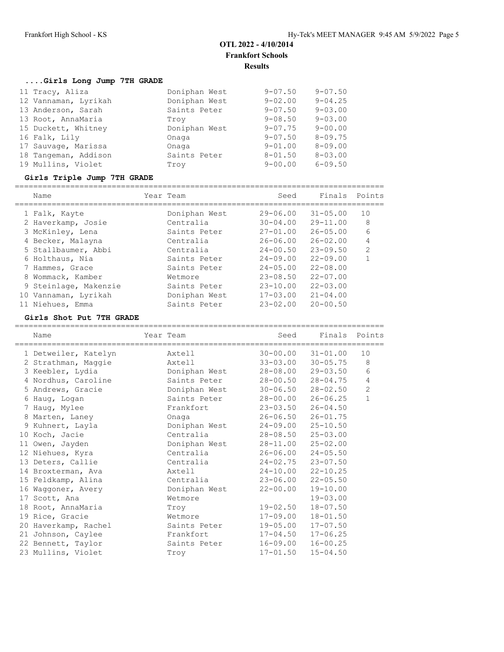## **....Girls Long Jump 7TH GRADE**

| 11 Tracy, Aliza      | Doniphan West | $9 - 07.50$ | $9 - 07.50$ |
|----------------------|---------------|-------------|-------------|
| 12 Vannaman, Lyrikah | Doniphan West | $9 - 02.00$ | $9 - 04.25$ |
| 13 Anderson, Sarah   | Saints Peter  | $9 - 07.50$ | $9 - 03.00$ |
| 13 Root, AnnaMaria   | Trov          | $9 - 08.50$ | $9 - 03.00$ |
| 15 Duckett, Whitney  | Doniphan West | $9 - 07.75$ | $9 - 00.00$ |
| 16 Falk, Lily        | Onaga         | $9 - 07.50$ | $8 - 09.75$ |
| 17 Sauvage, Marissa  | Onaga         | $9 - 01.00$ | $8 - 09.00$ |
| 18 Tangeman, Addison | Saints Peter  | $8 - 01.50$ | $8 - 03.00$ |
| 19 Mullins, Violet   | Troy          | $9 - 00.00$ | $6 - 09.50$ |

## **Girls Triple Jump 7TH GRADE**

|   | Name                  | Year Team     | Seed         | Finals       | Points         |
|---|-----------------------|---------------|--------------|--------------|----------------|
|   | 1 Falk, Kayte         | Doniphan West | $29 - 06.00$ | $31 - 05.00$ | 10             |
|   | 2 Haverkamp, Josie    | Centralia     | $30 - 04.00$ | $29 - 11.00$ | 8              |
|   | 3 McKinley, Lena      | Saints Peter  | $27 - 01.00$ | $26 - 05.00$ | 6              |
|   | 4 Becker, Malayna     | Centralia     | $26 - 06.00$ | $26 - 02.00$ | 4              |
|   | 5 Stallbaumer, Abbi   | Centralia     | $24 - 00.50$ | $23 - 09.50$ | $\mathfrak{D}$ |
|   | 6 Holthaus, Nia       | Saints Peter  | $24 - 09.00$ | $22 - 09.00$ |                |
|   | 7 Hammes, Grace       | Saints Peter  | $24 - 05.00$ | $22 - 08.00$ |                |
| 8 | Wommack, Kamber       | Wetmore       | $23 - 08.50$ | $22 - 07.00$ |                |
|   | 9 Steinlage, Makenzie | Saints Peter  | $23 - 10.00$ | $22 - 03.00$ |                |
|   | 10 Vannaman, Lyrikah  | Doniphan West | $17 - 03.00$ | $21 - 04.00$ |                |
|   | 11 Niehues, Emma      | Saints Peter  | $23 - 02.00$ | $20 - 00.50$ |                |

## **Girls Shot Put 7TH GRADE**

| Name                 | Year Team<br>,,,,,,,,,,,,,,,,,,,,,,, | Seed                  | Finals Points             |                |
|----------------------|--------------------------------------|-----------------------|---------------------------|----------------|
| 1 Detweiler, Katelyn | Axtell                               |                       | $30 - 00.00$ $31 - 01.00$ | 10             |
| 2 Strathman, Maggie  | Axtell                               |                       | $33 - 03.00$ $30 - 05.75$ | 8              |
| 3 Keebler, Lydia     | Doniphan West                        |                       | $28 - 08.00$ 29-03.50     | 6              |
| 4 Nordhus, Caroline  | Saints Peter                         | $28 - 00.50$          | $28 - 04.75$              | 4              |
| 5 Andrews, Gracie    | Doniphan West                        |                       | $30 - 06.50$ $28 - 02.50$ | $\overline{2}$ |
| 6 Haug, Logan        | Saints Peter                         | 28-00.00              | $26 - 06.25$              | $\mathbf{1}$   |
| 7 Haug, Mylee        | Frankfort                            |                       | $23 - 03.50$ $26 - 04.50$ |                |
| 8 Marten, Laney      | Onaga                                | $26 - 06.50$          | $26 - 01.75$              |                |
| 9 Kuhnert, Layla     | Doniphan West                        | 24-09.00              | $25 - 10.50$              |                |
| 10 Koch, Jacie       | Centralia                            |                       | $28 - 08.50$ $25 - 03.00$ |                |
| 11 Owen, Jayden      | Doniphan West                        | 28-11.00              | $25 - 02.00$              |                |
| 12 Niehues, Kyra     | Centralia                            |                       | $26 - 06.00$ $24 - 05.50$ |                |
| 13 Deters, Callie    | Centralia                            | $24 - 02.75$          | $23 - 07.50$              |                |
| 14 Broxterman, Ava   | Axtell                               | $24-10.00$ $22-10.25$ |                           |                |
| 15 Feldkamp, Alina   | Centralia                            | $23 - 06.00$          | $22 - 05.50$              |                |
| 16 Waggoner, Avery   | Doniphan West                        | 22-00.00              | $19 - 10.00$              |                |
| 17 Scott, Ana        | Wetmore                              |                       | $19 - 03.00$              |                |
| 18 Root, AnnaMaria   | Trov                                 | 19-02.50              | $18 - 07.50$              |                |
| 19 Rice, Gracie      | Wetmore                              | 17-09.00              | $18 - 01.50$              |                |
| 20 Haverkamp, Rachel | Saints Peter                         | 19-05.00              | $17 - 07.50$              |                |
| 21 Johnson, Caylee   | Frankfort                            | $17 - 04.50$          | $17 - 06.25$              |                |
| 22 Bennett, Taylor   | Saints Peter                         | 16-09.00              | $16 - 00.25$              |                |
| 23 Mullins, Violet   | Troy                                 | $17 - 01.50$          | $15 - 04.50$              |                |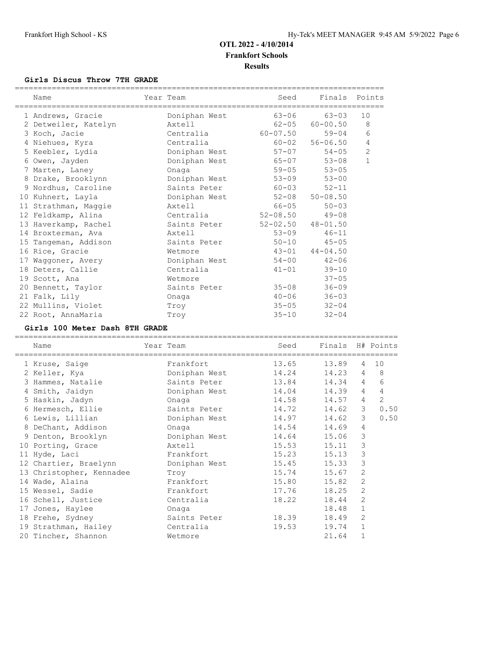## **Girls Discus Throw 7TH GRADE**

| Name                              | Year Team                                                                                                                                                                                                                      | Seed<br>__________________________________ | Finals Points             |                |
|-----------------------------------|--------------------------------------------------------------------------------------------------------------------------------------------------------------------------------------------------------------------------------|--------------------------------------------|---------------------------|----------------|
| 1 Andrews, Gracie                 | Doniphan West                                                                                                                                                                                                                  | 63-06                                      | 63-03                     | 10             |
| 2 Detweiler, Katelyn              | Axtell in the set of the set of the set of the set of the set of the set of the set of the set of the set of the set of the set of the set of the set of the set of the set of the set of the set of the set of the set of the |                                            | $62 - 05$ $60 - 00.50$    | 8              |
| 3 Koch, Jacie                     | Centralia                                                                                                                                                                                                                      | $60 - 07.50$                               | $59 - 04$                 | 6              |
| 4 Niehues, Kyra                   | Centralia                                                                                                                                                                                                                      |                                            | $60 - 02$ $56 - 06.50$    | $\overline{4}$ |
| 5 Keebler, Lydia                  | Doniphan West                                                                                                                                                                                                                  | $57 - 07$                                  | $54 - 05$                 | 2              |
| 6 Owen, Jayden                    | Doniphan West                                                                                                                                                                                                                  | $65 - 07$                                  | $53 - 08$                 | $\mathbf{1}$   |
| 7 Marten, Laney                   | Onaga                                                                                                                                                                                                                          | $59 - 05$                                  | $53 - 05$                 |                |
| 8 Drake, Brooklynn                | Doniphan West                                                                                                                                                                                                                  | $53 - 09$                                  | $53 - 00$                 |                |
| 9 Nordhus, Caroline               | Saints Peter                                                                                                                                                                                                                   | $60 - 03$                                  | $52 - 11$                 |                |
| 10 Kuhnert, Layla                 | Doniphan West                                                                                                                                                                                                                  |                                            | $52 - 08$ $50 - 08.50$    |                |
| 11 Strathman, Maggie              | Axtell                                                                                                                                                                                                                         | 66-05                                      | $50 - 03$                 |                |
| 12 Feldkamp, Alina                | Centralia                                                                                                                                                                                                                      | $52 - 08.50$                               | $49 - 08$                 |                |
| 13 Haverkamp, Rachel Saints Peter |                                                                                                                                                                                                                                |                                            | $52 - 02.50$ $48 - 01.50$ |                |
| 14 Broxterman, Ava                | Axtell                                                                                                                                                                                                                         | $53 - 09$                                  | $46 - 11$                 |                |
| 15 Tangeman, Addison              | Saints Peter                                                                                                                                                                                                                   | $50 - 10$                                  | $45 - 05$                 |                |
| 16 Rice, Gracie                   | Wetmore                                                                                                                                                                                                                        |                                            | $43 - 01$ $44 - 04.50$    |                |
| 17 Waggoner, Avery                | Doniphan West                                                                                                                                                                                                                  | $54 - 00$                                  | $42 - 06$                 |                |
| 18 Deters, Callie                 | Centralia                                                                                                                                                                                                                      | $41 - 01$                                  | $39 - 10$                 |                |
| 19 Scott, Ana                     | Wetmore                                                                                                                                                                                                                        |                                            | $37 - 05$                 |                |
| 20 Bennett, Taylor                | Saints Peter                                                                                                                                                                                                                   | $35 - 08$                                  | $36 - 09$                 |                |
| 21 Falk, Lily                     | Onaga                                                                                                                                                                                                                          | $40 - 06$                                  | $36 - 03$                 |                |
| 22 Mullins, Violet                | Troy                                                                                                                                                                                                                           | $35 - 05$                                  | $32 - 04$                 |                |
| 22 Root, AnnaMaria                | Troy                                                                                                                                                                                                                           | $35 - 10$                                  | $32 - 04$                 |                |

#### **Girls 100 Meter Dash 8TH GRADE**

| Name                     | Year Team     | Seed                    | Finals H# Points |                |                |
|--------------------------|---------------|-------------------------|------------------|----------------|----------------|
| 1 Kruse, Saige           | Frankfort     | ==============<br>13.65 | 13.89            | 4              | 10             |
| 2 Keller, Kya            | Doniphan West | 14.24                   | 14.23            | $\overline{4}$ | 8              |
| 3 Hammes, Natalie        | Saints Peter  | 13.84                   | 14.34            | $\overline{4}$ | 6              |
| 4 Smith, Jaidyn          | Doniphan West | 14.04                   | 14.39            | $\overline{4}$ | $\overline{4}$ |
| 5 Haskin, Jadyn          | Onaga         | 14.58                   | 14.57            | $\overline{4}$ | 2              |
| 6 Hermesch, Ellie        | Saints Peter  | 14.72                   | 14.62            | 3              | 0.50           |
| 6 Lewis, Lillian         | Doniphan West | 14.97                   | 14.62            | 3              | 0.50           |
| 8 DeChant, Addison       | Onaga         | 14.54                   | 14.69            | 4              |                |
| 9 Denton, Brooklyn       | Doniphan West | 14.64                   | 15.06            | 3              |                |
| 10 Porting, Grace        | Axtell        | 15.53                   | 15.11            | 3              |                |
| 11 Hyde, Laci            | Frankfort     | 15.23                   | 15.13            | 3              |                |
| 12 Chartier, Braelynn    | Doniphan West | 15.45                   | 15.33            | 3              |                |
| 13 Christopher, Kennadee | Troy          | 15.74                   | 15.67            | 2              |                |
| 14 Wade, Alaina          | Frankfort     | 15.80                   | 15.82            | 2              |                |
| 15 Wessel, Sadie         | Frankfort     | 17.76                   | 18.25            | $\overline{2}$ |                |
| 16 Schell, Justice       | Centralia     | 18.22                   | 18.44            | 2              |                |
| 17 Jones, Haylee         | Onaga         |                         | 18.48            | $\mathbf{1}$   |                |
| 18 Frehe, Sydney         | Saints Peter  | 18.39                   | 18.49            | 2              |                |
| 19 Strathman, Hailey     | Centralia     | 19.53                   | 19.74            | $\mathbf{1}$   |                |
| 20 Tincher, Shannon      | Wetmore       |                         | 21.64            | $\mathbf 1$    |                |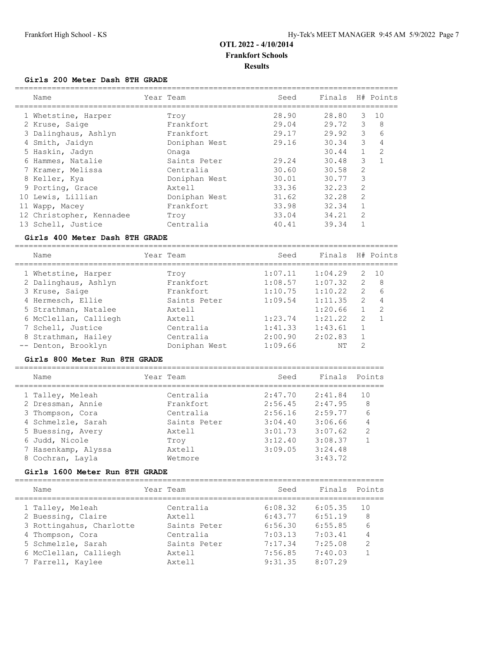#### **Girls 200 Meter Dash 8TH GRADE**

| Name                     | Year Team     | Seed  | Finals H# Points |                |    |
|--------------------------|---------------|-------|------------------|----------------|----|
| 1 Whetstine, Harper      | Troy          | 28.90 | 28.80            | 3              | 10 |
| 2 Kruse, Saige           | Frankfort     | 29.04 | 29.72            | 3              | 8  |
| 3 Dalinghaus, Ashlyn     | Frankfort     | 29.17 | 29.92            | 3              | 6  |
| 4 Smith, Jaidyn          | Doniphan West | 29.16 | 30.34            | 3              | 4  |
| 5 Haskin, Jadyn          | Onaga         |       | 30.44            | $\mathbf{1}$   | 2  |
| 6 Hammes, Natalie        | Saints Peter  | 29.24 | 30.48            | 3              |    |
| 7 Kramer, Melissa        | Centralia     | 30.60 | 30.58            | 2              |    |
| 8 Keller, Kya            | Doniphan West | 30.01 | 30.77            | 3              |    |
| 9 Porting, Grace         | Axtell        | 33.36 | 32.23            | $\mathfrak{D}$ |    |
| 10 Lewis, Lillian        | Doniphan West | 31.62 | 32.28            | $\mathfrak{D}$ |    |
| 11 Wapp, Macey           | Frankfort     | 33.98 | 32.34            | 1              |    |
| 12 Christopher, Kennadee | Trov          | 33.04 | 34.21            | 2              |    |
| 13 Schell, Justice       | Centralia     | 40.41 | 39.34            |                |    |
|                          |               |       |                  |                |    |

#### **Girls 400 Meter Dash 8TH GRADE**

===================================================================================

| Name                  | Year Team     | Seed    | Finals  |                | H# Points      |
|-----------------------|---------------|---------|---------|----------------|----------------|
| 1 Whetstine, Harper   | Trov          | 1:07.11 | 1:04.29 | 2              | 10             |
| 2 Dalinghaus, Ashlyn  | Frankfort     | 1:08.57 | 1:07.32 | 2              | -8             |
| 3 Kruse, Saige        | Frankfort     | 1:10.75 | 1:10.22 | $\mathcal{L}$  | 6              |
| 4 Hermesch, Ellie     | Saints Peter  | 1:09.54 | 1:11.35 | $\overline{2}$ | $\overline{4}$ |
| 5 Strathman, Natalee  | Axtell        |         | 1:20.66 |                | -2             |
| 6 McClellan, Calliegh | Axtell        | 1:23.74 | 1:21.22 | 2              | $\overline{1}$ |
| 7 Schell, Justice     | Centralia     | 1:41.33 | 1:43.61 |                |                |
| 8 Strathman, Hailey   | Centralia     | 2:00.90 | 2:02.83 | $\mathbf{1}$   |                |
| -- Denton, Brooklyn   | Doniphan West | 1:09.66 | NΤ      | $\mathcal{D}$  |                |

#### **Girls 800 Meter Run 8TH GRADE**

| Name                | Year Team    | Seed    | Finals  | Points         |
|---------------------|--------------|---------|---------|----------------|
| 1 Talley, Meleah    | Centralia    | 2:47.70 | 2:41.84 | 1 O            |
| 2 Dressman, Annie   | Frankfort    | 2:56.45 | 2:47.95 | 8              |
| 3 Thompson, Cora    | Centralia    | 2:56.16 | 2:59.77 | 6              |
| 4 Schmelzle, Sarah  | Saints Peter | 3:04.40 | 3:06.66 | 4              |
| 5 Buessing, Avery   | Axtell       | 3:01.73 | 3:07.62 | $\overline{2}$ |
| 6 Judd, Nicole      | Troy         | 3:12.40 | 3:08.37 |                |
| 7 Hasenkamp, Alyssa | Axtell       | 3:09.05 | 3:24.48 |                |
| 8 Cochran, Layla    | Wetmore      |         | 3:43.72 |                |
|                     |              |         |         |                |

#### **Girls 1600 Meter Run 8TH GRADE**

================================================================================ Name Year Team Seed Finals Points ================================================================================ 1 Talley, Meleah Centralia 6:08.32 6:05.35 10 2 Buessing, Claire Axtell 6:43.77 6:51.19 8 3 Rottingahus, Charlotte Saints Peter 6:56.30 6:55.85 6 4 Thompson, Cora Centralia 7:03.13 7:03.41 4 5 Schmelzle, Sarah Saints Peter 7:17.34 7:25.08 2 6 McClellan, Calliegh Axtell 7:56.85 7:40.03 1 7 Farrell, Kaylee Axtell 9:31.35 8:07.29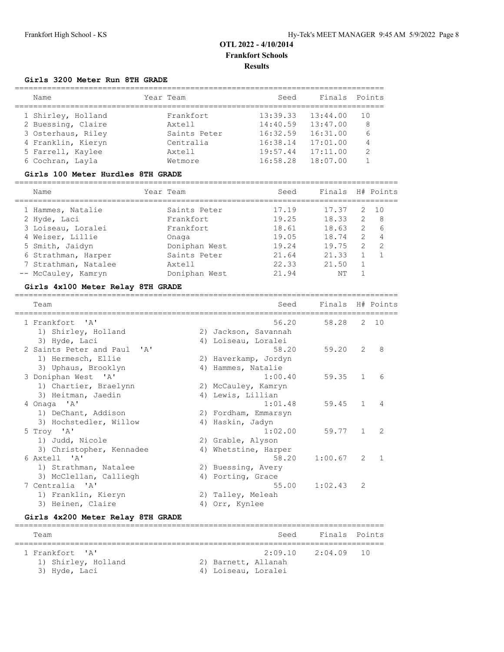## **Girls 3200 Meter Run 8TH GRADE**

| Name               | Year Team    | Seed     | Finals   | Points        |
|--------------------|--------------|----------|----------|---------------|
| 1 Shirley, Holland | Frankfort.   | 13:39.33 | 13:44.00 | 1 O           |
| 2 Buessing, Claire | Axtell       | 14:40.59 | 13:47.00 | 8             |
| 3 Osterhaus, Riley | Saints Peter | 16:32.59 | 16:31.00 | 6             |
| 4 Franklin, Kieryn | Centralia    | 16:38.14 | 17:01.00 | 4             |
| 5 Farrell, Kaylee  | Axtell       | 19:57.44 | 17:11.00 | $\mathcal{D}$ |
| 6 Cochran, Layla   | Wetmore      | 16:58.28 | 18:07.00 |               |

#### **Girls 100 Meter Hurdles 8TH GRADE**

| Name                 | Year Team     | Seed  | Finals H# Points |               |                |
|----------------------|---------------|-------|------------------|---------------|----------------|
| 1 Hammes, Natalie    | Saints Peter  | 17.19 | 17.37            | 2             | 10             |
| 2 Hyde, Laci         | Frankfort.    | 19.25 | 18.33            | $\mathcal{L}$ | 8              |
| 3 Loiseau, Loralei   | Frankfort.    | 18.61 | 18.63            | 2             | 6              |
| 4 Weiser, Lillie     | Onaga         | 19.05 | 18.74            | 2             | $\overline{4}$ |
| 5 Smith, Jaidyn      | Doniphan West | 19.24 | 19.75            | $\mathcal{L}$ | $\overline{2}$ |
| 6 Strathman, Harper  | Saints Peter  | 21.64 | 21.33            |               |                |
| 7 Strathman, Natalee | Axtell        | 22.33 | 21.50            |               |                |
| -- McCauley, Kamryn  | Doniphan West | 21.94 | NΤ               |               |                |
|                      |               |       |                  |               |                |

## **Girls 4x100 Meter Relay 8TH GRADE**

| Team                        | Seed                 | Finals H# Points |               |                |
|-----------------------------|----------------------|------------------|---------------|----------------|
| 1 Frankfort, 'A'            | 56.20                | 58.28            |               | 2, 10          |
| 1) Shirley, Holland         | 2) Jackson, Savannah |                  |               |                |
| 3) Hyde, Laci               | 4) Loiseau, Loralei  |                  |               |                |
| 2 Saints Peter and Paul 'A' | 58.20                | 59.20            | 2             | 8              |
| 1) Hermesch, Ellie          | 2) Haverkamp, Jordyn |                  |               |                |
| 3) Uphaus, Brooklyn         | 4) Hammes, Natalie   |                  |               |                |
| 3 Doniphan West 'A'         | 1:00.40              | 59.35            | $\mathbf{1}$  | 6              |
| 1) Chartier, Braelynn       | 2) McCauley, Kamryn  |                  |               |                |
| 3) Heitman, Jaedin          | 4) Lewis, Lillian    |                  |               |                |
| 4 Onaga 'A'                 | 1:01.48              | 59.45            | $\mathbf{1}$  | $\overline{4}$ |
| 1) DeChant, Addison         | 2) Fordham, Emmarsyn |                  |               |                |
| 3) Hochstedler, Willow      | 4) Haskin, Jadyn     |                  |               |                |
| 5 Troy 'A'                  | 1:02.00              | 59.77            | $\mathbf{1}$  | $\mathcal{L}$  |
| 1) Judd, Nicole             | 2) Grable, Alyson    |                  |               |                |
| 3) Christopher, Kennadee    | 4) Whetstine, Harper |                  |               |                |
| 6 Axtell 'A'                | 58.20                | 1:00.67          | $\mathcal{L}$ | $\overline{1}$ |
| 1) Strathman, Natalee       | 2) Buessing, Avery   |                  |               |                |
| 3) McClellan, Calliegh      | 4) Porting, Grace    |                  |               |                |
| 7 Centralia 'A'             | 55.00                | 1:02.43          | 2             |                |
| 1) Franklin, Kieryn         | 2) Talley, Meleah    |                  |               |                |
| 3) Heinen, Claire           | 4) Orr, Kynlee       |                  |               |                |
|                             |                      |                  |               |                |

#### **Girls 4x200 Meter Relay 8TH GRADE**

| Team |                                                          |                                            | Seed | Finals Points          |  |
|------|----------------------------------------------------------|--------------------------------------------|------|------------------------|--|
|      | 1 Frankfort, 'A'<br>1) Shirley, Holland<br>3) Hyde, Laci | 2) Barnett, Allanah<br>4) Loiseau, Loralei |      | $2:09.10$ $2:04.09$ 10 |  |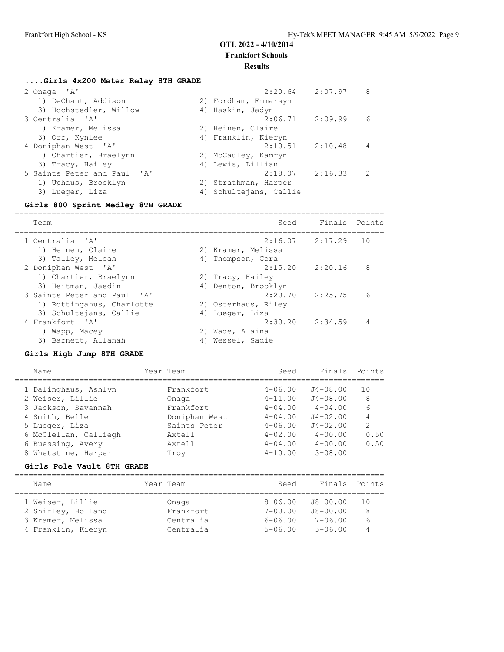# **OTL 2022 - 4/10/2014**

**Frankfort Schools**

#### **Results**

#### **....Girls 4x200 Meter Relay 8TH GRADE**

| 2:20.64                | 2:07.97<br>8                               |
|------------------------|--------------------------------------------|
| 2) Fordham, Emmarsyn   |                                            |
| 4) Haskin, Jadyn       |                                            |
|                        | 6                                          |
| 2) Heinen, Claire      |                                            |
| 4) Franklin, Kieryn    |                                            |
|                        | 4                                          |
| 2) McCauley, Kamryn    |                                            |
| 4) Lewis, Lillian      |                                            |
| 2:18.07                | 2:16.33<br>2                               |
| 2) Strathman, Harper   |                                            |
| 4) Schultejans, Callie |                                            |
|                        | $2:06.71$ $2:09.99$<br>$2:10.51$ $2:10.48$ |

#### **Girls 800 Sprint Medley 8TH GRADE**

================================================================================ Team Seed Finals Points ================================================================================ 1 Centralia 'A' 2:16.07 2:17.29 10 1) Heinen, Claire 2) Kramer, Melissa 3) Talley, Meleah (4) Thompson, Cora 2 Doniphan West 'A' 2:15.20 2:20.16 8 1) Chartier, Braelynn and 2) Tracy, Hailey 3) Heitman, Jaedin 4) Denton, Brooklyn 3 Saints Peter and Paul 'A' 2:20.70 2:25.75 6 1) Rottingahus, Charlotte 2) Osterhaus, Riley 3) Schultejans, Callie (4) Lueger, Liza 4 Frankfort 'A' 2:30.20 2:34.59 4 1) Wapp, Macey 2) Wade, Alaina 3) Barnett, Allanah (4) Wessel, Sadie

#### **Girls High Jump 8TH GRADE**

================================================================================ Name **Seed** Finals Points ================================================================================ 1 Dalinghaus, Ashlyn Frankfort 4-06.00 J4-08.00 10 2 Weiser, Lillie Onaga 4-11.00 J4-08.00 8 3 Jackson, Savannah Frankfort 4-04.00 4-04.00 6 4 Smith, Belle Doniphan West 4-04.00 J4-02.00 4 5 Lueger, Liza Saints Peter 4-06.00 J4-02.00 2 6 McClellan, Calliegh Axtell 4-02.00 4-00.00 0.50 6 Buessing, Avery Axtell 4-04.00 4-00.00 0.50 8 Whetstine, Harper Troy 4-10.00 3-08.00

#### **Girls Pole Vault 8TH GRADE**

| Name                                                        | Year Team                       | Seed                                      | Finals Points                           |               |
|-------------------------------------------------------------|---------------------------------|-------------------------------------------|-----------------------------------------|---------------|
| 1 Weiser, Lillie<br>2 Shirley, Holland<br>3 Kramer, Melissa | Onaga<br>Frankfort<br>Centralia | $8 - 06.00$<br>$7 - 00.00$<br>$6 - 06.00$ | J8-00.00<br>$J8 - 00.00$<br>$7 - 06.00$ | 1 N<br>8<br>6 |
| 4 Franklin, Kieryn                                          | Centralia                       | $5 - 06.00$                               | $5 - 06.00$                             |               |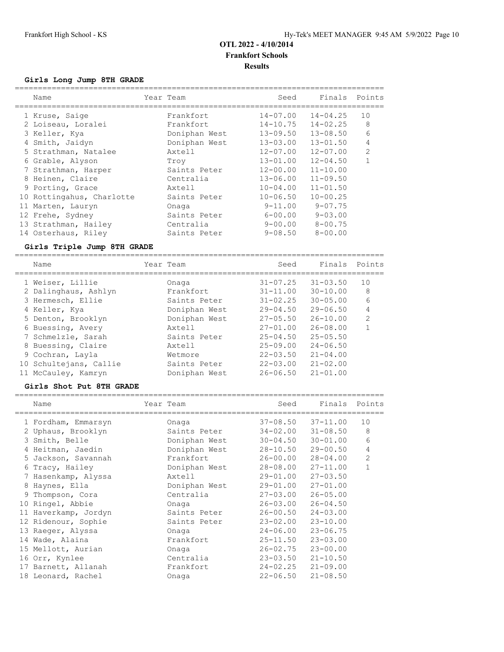## **Girls Long Jump 8TH GRADE**

| Name |                                                                                                                                                                                                                                                                                                          |               |           | Seed         | Finals       | Points                   |
|------|----------------------------------------------------------------------------------------------------------------------------------------------------------------------------------------------------------------------------------------------------------------------------------------------------------|---------------|-----------|--------------|--------------|--------------------------|
|      |                                                                                                                                                                                                                                                                                                          | Frankfort     |           | $14 - 07.00$ | $14 - 04.25$ | 10                       |
|      |                                                                                                                                                                                                                                                                                                          | Frankfort.    |           |              | $14 - 02.25$ | 8                        |
|      |                                                                                                                                                                                                                                                                                                          | Doniphan West |           |              | $13 - 08.50$ | 6                        |
|      |                                                                                                                                                                                                                                                                                                          | Doniphan West |           | $13 - 03.00$ | $13 - 01.50$ | 4                        |
|      |                                                                                                                                                                                                                                                                                                          | Axtell        |           | $12 - 07.00$ | $12 - 07.00$ | $\overline{2}$           |
|      |                                                                                                                                                                                                                                                                                                          | Trov          |           | $13 - 01.00$ | $12 - 04.50$ |                          |
|      |                                                                                                                                                                                                                                                                                                          | Saints Peter  |           | $12 - 00.00$ | $11 - 10.00$ |                          |
|      |                                                                                                                                                                                                                                                                                                          | Centralia     |           | $13 - 06.00$ | $11 - 09.50$ |                          |
|      |                                                                                                                                                                                                                                                                                                          | Axtell        |           | $10 - 04.00$ | $11 - 01.50$ |                          |
|      |                                                                                                                                                                                                                                                                                                          | Saints Peter  |           | $10 - 06.50$ | $10 - 00.25$ |                          |
|      |                                                                                                                                                                                                                                                                                                          | Onaga         |           | $9 - 11.00$  | $9 - 07.75$  |                          |
|      |                                                                                                                                                                                                                                                                                                          | Saints Peter  |           | $6 - 00.00$  | $9 - 03.00$  |                          |
|      |                                                                                                                                                                                                                                                                                                          | Centralia     |           | $9 - 00.00$  | $8 - 00.75$  |                          |
|      |                                                                                                                                                                                                                                                                                                          | Saints Peter  |           | $9 - 08.50$  | $8 - 00.00$  |                          |
|      | 1 Kruse, Saige<br>2 Loiseau, Loralei<br>3 Keller, Kya<br>4 Smith, Jaidyn<br>5 Strathman, Natalee<br>6 Grable, Alyson<br>7 Strathman, Harper<br>8 Heinen, Claire<br>9 Porting, Grace<br>10 Rottingahus, Charlotte<br>11 Marten, Lauryn<br>12 Frehe, Sydney<br>13 Strathman, Hailey<br>14 Osterhaus, Riley |               | Year Team |              |              | 14-10.75<br>$13 - 09.50$ |

## **Girls Triple Jump 8TH GRADE**

| Name                   | Year Team |               | Seed         | Finals       | Points         |
|------------------------|-----------|---------------|--------------|--------------|----------------|
| 1 Weiser, Lillie       |           | Onaga         | $31 - 07.25$ | $31 - 03.50$ | 10             |
| 2 Dalinghaus, Ashlyn   |           | Frankfort     | $31 - 11.00$ | $30 - 10.00$ | 8              |
| 3 Hermesch, Ellie      |           | Saints Peter  | $31 - 02.25$ | $30 - 05.00$ | 6              |
| 4 Keller, Kya          |           | Doniphan West | $29 - 04.50$ | $29 - 06.50$ | 4              |
| 5 Denton, Brooklyn     |           | Doniphan West | $27 - 05.50$ | $26 - 10.00$ | $\overline{2}$ |
| 6 Buessing, Avery      |           | Axtell        | $27 - 01.00$ | $26 - 08.00$ |                |
| 7 Schmelzle, Sarah     |           | Saints Peter  | $25 - 04.50$ | $25 - 05.50$ |                |
| 8 Buessing, Claire     |           | Axtell        | $25 - 09.00$ | $24 - 06.50$ |                |
| 9 Cochran, Layla       |           | Wetmore       | $22 - 03.50$ | $21 - 04.00$ |                |
| 10 Schultejans, Callie |           | Saints Peter  | $22 - 03.00$ | $21 - 02.00$ |                |
| 11 McCauley, Kamryn    |           | Doniphan West | $26 - 06.50$ | $21 - 01.00$ |                |

## **Girls Shot Put 8TH GRADE**

| Name                 | Year Team     | Seed                  | Finals Points |                |
|----------------------|---------------|-----------------------|---------------|----------------|
| 1 Fordham, Emmarsyn  | Onaga         | $37 - 08.50$          | $37 - 11.00$  | 10             |
| 2 Uphaus, Brooklyn   | Saints Peter  | $34 - 02.00$          | $31 - 08.50$  | 8              |
| 3 Smith, Belle       | Doniphan West | $30 - 04.50$          | $30 - 01.00$  | 6              |
| 4 Heitman, Jaedin    | Doniphan West | 28-10.50              | 29-00.50      | $\overline{4}$ |
| 5 Jackson, Savannah  | Frankfort     | 26-00.00              | $28 - 04.00$  | 2              |
| 6 Tracy, Hailey      | Doniphan West | 28-08.00              | $27 - 11.00$  | $\mathbf{1}$   |
| 7 Hasenkamp, Alyssa  | Axtell        | 29-01.00              | $27 - 03.50$  |                |
| 8 Haynes, Ella       | Doniphan West | 29-01.00              | $27 - 01.00$  |                |
| 9 Thompson, Cora     | Centralia     | $27 - 03.00$          | $26 - 05.00$  |                |
| 10 Ringel, Abbie     | Onaga         | $26 - 03.00$          | $26 - 04.50$  |                |
| 11 Haverkamp, Jordyn | Saints Peter  | $26 - 00.50$          | $24 - 03.00$  |                |
| 12 Ridenour, Sophie  | Saints Peter  | $23 - 02.00$          | $23 - 10.00$  |                |
| 13 Raeger, Alyssa    | Onaga         | $24 - 06.00$ 23-06.75 |               |                |
| 14 Wade, Alaina      | Frankfort     | $25 - 11.50$          | $23 - 03.00$  |                |
| 15 Mellott, Aurian   | Onaga         | $26 - 02.75$          | $23 - 00.00$  |                |
| 16 Orr, Kynlee       | Centralia     | $23 - 03.50$          | $21 - 10.50$  |                |
| 17 Barnett, Allanah  | Frankfort     | $24 - 02.25$          | $21 - 09.00$  |                |
| 18 Leonard, Rachel   | Onaga         | $22 - 06.50$          | $21 - 08.50$  |                |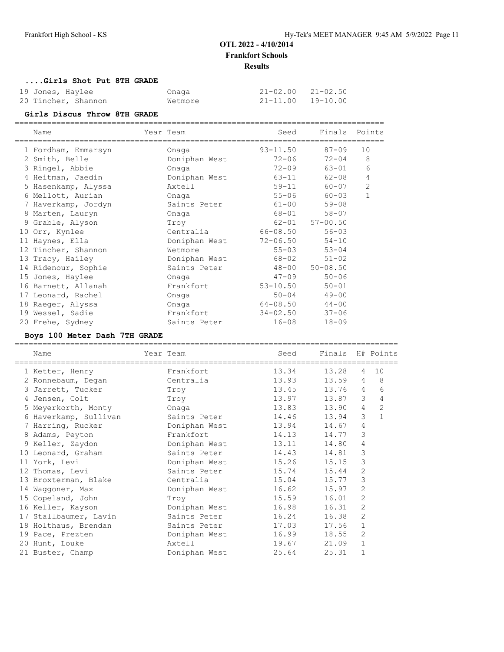===================================================================================

#### **....Girls Shot Put 8TH GRADE**

| 19 Jones, Haylee    | Onaga   | $21 - 02.00$ $21 - 02.50$ |  |
|---------------------|---------|---------------------------|--|
| 20 Tincher, Shannon | Wetmore | 21-11.00 19-10.00         |  |

## **Girls Discus Throw 8TH GRADE**

| Name                | Year Team<br>---------------------- | Seed         | Finals Points          |              |
|---------------------|-------------------------------------|--------------|------------------------|--------------|
| 1 Fordham, Emmarsyn | Onaga                               | $93 - 11.50$ | 87-09                  | 10           |
| 2 Smith, Belle      | Doniphan West                       | $72 - 06$    | $72 - 04$              | 8            |
| 3 Ringel, Abbie     | Onaga                               | $72 - 09$    | 63-01                  | 6            |
| 4 Heitman, Jaedin   | Doniphan West                       | $63 - 11$    | 62-08                  | 4            |
| 5 Hasenkamp, Alyssa | Axtell                              | $59 - 11$    | 60-07                  | 2            |
| 6 Mellott, Aurian   | Onaga                               | $55 - 06$    | $60 - 03$              | $\mathbf{1}$ |
| 7 Haverkamp, Jordyn | Saints Peter                        | $61 - 00$    | $59 - 08$              |              |
| 8 Marten, Lauryn    | Onaga                               | 68-01        | $58 - 07$              |              |
| 9 Grable, Alyson    | Troy                                |              | $62 - 01$ $57 - 00.50$ |              |
| 10 Orr, Kynlee      | Centralia                           | 66-08.50     | $56 - 03$              |              |
| 11 Haynes, Ella     | Doniphan West                       | 72-06.50     | $54 - 10$              |              |
| 12 Tincher, Shannon | Wetmore                             | $55 - 03$    | $53 - 04$              |              |
| 13 Tracy, Hailey    | Doniphan West                       | 68-02        | $51 - 02$              |              |
| 14 Ridenour, Sophie | Saints Peter                        |              | $48 - 00$ $50 - 08.50$ |              |
| 15 Jones, Haylee    | Onaga                               | $47 - 09$    | $50 - 06$              |              |
| 16 Barnett, Allanah | Frankfort                           | $53 - 10.50$ | $50 - 01$              |              |
| 17 Leonard, Rachel  | Onaga                               | $50 - 04$    | $49 - 00$              |              |
| 18 Raeger, Alyssa   | Onaga                               | 64-08.50     | $44 - 00$              |              |
| 19 Wessel, Sadie    | Frankfort                           | $34 - 02.50$ | $37 - 06$              |              |
| 20 Frehe, Sydney    | Saints Peter                        | $16 - 08$    | $18 - 09$              |              |

#### **Boys 100 Meter Dash 7TH GRADE**

| Name<br>=======================               | Year Team     | Seed<br>======================== | Finals H# Points<br>============ |                |              |
|-----------------------------------------------|---------------|----------------------------------|----------------------------------|----------------|--------------|
| 1 Ketter, Henry                               | Frankfort     | 13.34                            | 13.28                            | $\overline{4}$ | 10           |
| 2 Ronnebaum, Degan                            | Centralia     | 13.93                            | 13.59                            | 4              | 8            |
| 3 Jarrett, Tucker                             | Troy          | 13.45                            | 13.76                            | $\overline{4}$ | 6            |
| 4 Jensen, Colt                                | Troy          | 13.97                            | 13.87                            | 3              | 4            |
| 5 Meyerkorth, Monty                           | Onaga         | 13.83                            | 13.90                            | $\overline{4}$ | 2            |
| 6 Haverkamp, Sullivan                         | Saints Peter  | 14.46                            | 13.94                            | 3              | $\mathbf{1}$ |
| 7 Harring, Rucker               Doniphan West |               | 13.94                            | 14.67                            | 4              |              |
| 8 Adams, Peyton                               | Frankfort     | 14.13                            | 14.77                            | 3              |              |
| 9 Keller, Zaydon                              | Doniphan West | 13.11                            | 14.80                            | 4              |              |
| 10 Leonard, Graham                            | Saints Peter  | 14.43                            | 14.81                            | 3              |              |
| 11 York, Levi                                 | Doniphan West | 15.26                            | 15.15                            | 3              |              |
| 12 Thomas, Levi                               | Saints Peter  | 15.74                            | 15.44                            | 2              |              |
| 13 Broxterman, Blake                          | Centralia     | 15.04                            | 15.77                            | 3              |              |
| 14 Waqqoner, Max                              | Doniphan West | 16.62                            | 15.97                            | $\overline{2}$ |              |
| 15 Copeland, John                             | Troy          | 15.59                            | 16.01                            | 2              |              |
| 16 Keller, Kayson                             | Doniphan West | 16.98                            | 16.31                            | 2              |              |
| 17 Stallbaumer, Lavin                         | Saints Peter  | 16.24                            | 16.38                            | 2              |              |
| 18 Holthaus, Brendan                          | Saints Peter  | 17.03                            | 17.56                            | $\mathbf 1$    |              |
| 19 Pace, Prezten                              | Doniphan West | 16.99                            | 18.55                            | $\overline{2}$ |              |
| 20 Hunt, Louke                                | Axtell        | 19.67                            | 21.09                            | $\mathbf{1}$   |              |
| 21 Buster, Champ                              | Doniphan West | 25.64                            | 25.31                            | $\mathbf 1$    |              |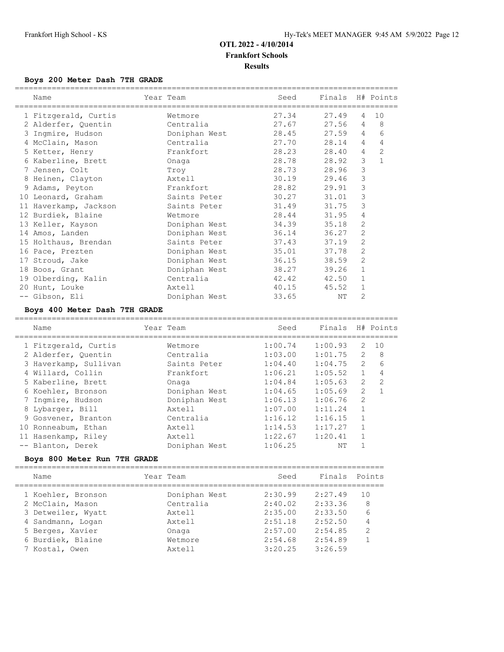#### **Boys 200 Meter Dash 7TH GRADE**

| Name                          | Year Team     | Seed  | Finals H# Points |                |                |
|-------------------------------|---------------|-------|------------------|----------------|----------------|
|                               |               |       |                  |                |                |
| 1 Fitzgerald, Curtis          | Wetmore       | 27.34 | 27.49            | $\overline{4}$ | 10             |
| 2 Alderfer, Ouentin           | Centralia     | 27.67 | 27.56            | 4              | 8              |
| 3 Ingmire, Hudson             | Doniphan West | 28.45 | 27.59            | 4              | 6              |
| 4 McClain, Mason              | Centralia     | 27.70 | 28.14            | $\overline{4}$ | 4              |
| 5 Ketter, Henry               | Frankfort     | 28.23 | 28.40            | $\overline{4}$ | $\overline{2}$ |
| 6 Kaberline, Brett            | Onaga         | 28.78 | 28.92            | 3              | $\mathbf{1}$   |
| 7 Jensen, Colt                | Trov          | 28.73 | 28.96            | 3              |                |
| 8 Heinen, Clayton             | Axtell        | 30.19 | 29.46            | 3              |                |
| 9 Adams, Peyton               | Frankfort     | 28.82 | 29.91            | 3              |                |
| 10 Leonard, Graham            | Saints Peter  | 30.27 | 31.01            | 3              |                |
| 11 Haverkamp, Jackson         | Saints Peter  | 31.49 | 31.75            | 3              |                |
| 12 Burdiek, Blaine            | Wetmore       | 28.44 | 31.95            | 4              |                |
| 13 Keller, Kayson             | Doniphan West | 34.39 | 35.18            | 2              |                |
| 14 Amos, Landen               | Doniphan West | 36.14 | 36.27            | 2              |                |
| 15 Holthaus, Brendan          | Saints Peter  | 37.43 | 37.19            | $\overline{2}$ |                |
| 16 Pace, Prezten              | Doniphan West | 35.01 | 37.78            | $\overline{2}$ |                |
| 17 Stroud, Jake               | Doniphan West | 36.15 | 38.59            | 2              |                |
| 18 Boos, Grant                | Doniphan West | 38.27 | 39.26            | $\mathbf{1}$   |                |
| 19 Olberding, Kalin           | Centralia     | 42.42 | 42.50            | 1              |                |
| 20 Hunt, Louke                | Axtell        | 40.15 | 45.52            | $\mathbf 1$    |                |
| -- Gibson, Eli                | Doniphan West | 33.65 | NΤ               | 2              |                |
| Boys 400 Meter Dash 7TH GRADE |               |       |                  |                |                |
| Name                          | Year Team     | Seed  | Finals           |                | H# Points      |

| 1 Fitzgerald, Curtis  | Wetmore       | 1:00.74 | 1:00.93 | 2              | 10            |
|-----------------------|---------------|---------|---------|----------------|---------------|
| 2 Alderfer, Quentin   | Centralia     | 1:03.00 | 1:01.75 | $\mathcal{L}$  | 8             |
| 3 Haverkamp, Sullivan | Saints Peter  | 1:04.40 | 1:04.75 | $\overline{2}$ | 6             |
| 4 Willard, Collin     | Frankfort.    | 1:06.21 | 1:05.52 |                | 4             |
| 5 Kaberline, Brett    | Onaga         | 1:04.84 | 1:05.63 | $\mathcal{L}$  | $\mathcal{L}$ |
| 6 Koehler, Bronson    | Doniphan West | 1:04.65 | 1:05.69 | 2              |               |
| 7 Ingmire, Hudson     | Doniphan West | 1:06.13 | 1:06.76 | 2              |               |
| 8 Lybarger, Bill      | Axtell        | 1:07.00 | 1:11.24 | $\mathbf{1}$   |               |
| 9 Gosvener, Branton   | Centralia     | 1:16.12 | 1:16.15 | $\overline{1}$ |               |
| 10 Ronneabum, Ethan   | Axtell        | 1:14.53 | 1:17.27 | $\mathbf{1}$   |               |
| 11 Hasenkamp, Riley   | Axtell        | 1:22.67 | 1:20.41 |                |               |
| -- Blanton, Derek     | Doniphan West | 1:06.25 | NΤ      |                |               |
|                       |               |         |         |                |               |

## **Boys 800 Meter Run 7TH GRADE**

| Name               | Year Team     | Seed    | Finals Points |               |
|--------------------|---------------|---------|---------------|---------------|
| 1 Koehler, Bronson | Doniphan West | 2:30.99 | 2:27.49       | 1 N           |
| 2 McClain, Mason   | Centralia     | 2:40.02 | 2:33.36       | 8             |
| 3 Detweiler, Wyatt | Axtell        | 2:35.00 | 2:33.50       | 6             |
| 4 Sandmann, Logan  | Axtell        | 2:51.18 | 2:52.50       | 4             |
| 5 Berges, Xavier   | Onaga         | 2:57.00 | 2:54.85       | $\mathcal{P}$ |
| 6 Burdiek, Blaine  | Wetmore       | 2:54.68 | 2:54.89       |               |
| 7 Kostal, Owen     | Axtell        | 3:20.25 | 3:26.59       |               |
|                    |               |         |               |               |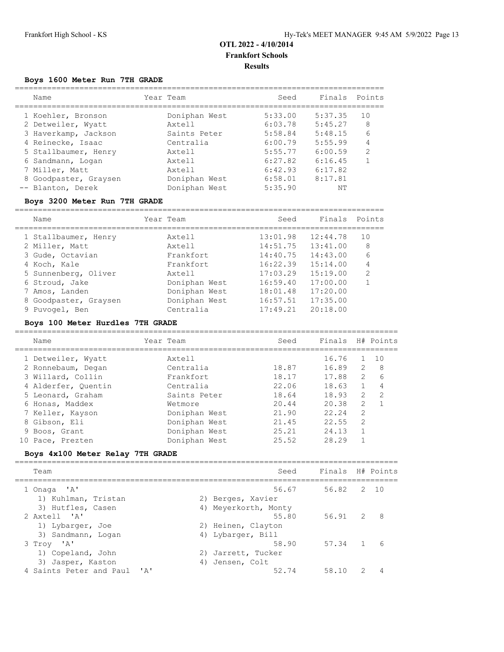## **Boys 1600 Meter Run 7TH GRADE**

| Name                  | Year Team     | Seed    | Finals  | Points        |
|-----------------------|---------------|---------|---------|---------------|
| 1 Koehler, Bronson    | Doniphan West | 5:33.00 | 5:37.35 | 10            |
| 2 Detweiler, Wyatt    | Axtell        | 6:03.78 | 5:45.27 | 8             |
| 3 Haverkamp, Jackson  | Saints Peter  | 5:58.84 | 5:48.15 | 6             |
| 4 Reinecke, Isaac     | Centralia     | 6:00.79 | 5:55.99 | 4             |
| 5 Stallbaumer, Henry  | Axtell        | 5:55.77 | 6:00.59 | $\mathcal{P}$ |
| 6 Sandmann, Logan     | Axtell        | 6:27.82 | 6:16.45 |               |
| 7 Miller, Matt        | Axtell        | 6:42.93 | 6:17.82 |               |
| 8 Goodpaster, Graysen | Doniphan West | 6:58.01 | 8:17.81 |               |
| -- Blanton, Derek     | Doniphan West | 5:35.90 | NΤ      |               |
|                       |               |         |         |               |

## **Boys 3200 Meter Run 7TH GRADE**

| Name                  | Year Team     | Seed     | Finals   | Points        |
|-----------------------|---------------|----------|----------|---------------|
| 1 Stallbaumer, Henry  | Axtell        | 13:01.98 | 12:44.78 | 10            |
| 2 Miller, Matt        | Axtell        | 14:51.75 | 13:41.00 | 8             |
| 3 Gude, Octavian      | Frankfort.    | 14:40.75 | 14:43.00 | 6             |
| 4 Koch, Kale          | Frankfort.    | 16:22.39 | 15:14.00 | 4             |
| 5 Sunnenberg, Oliver  | Axtell        | 17:03.29 | 15:19.00 | $\mathcal{L}$ |
| 6 Stroud, Jake        | Doniphan West | 16:59.40 | 17:00.00 |               |
| 7 Amos, Landen        | Doniphan West | 18:01.48 | 17:20.00 |               |
| 8 Goodpaster, Graysen | Doniphan West | 16:57.51 | 17:35.00 |               |
| 9 Puvogel, Ben        | Centralia     | 17:49.21 | 20:18.00 |               |

## **Boys 100 Meter Hurdles 7TH GRADE**

| Name                | Year Team     | Seed  | Finals |                | H# Points |
|---------------------|---------------|-------|--------|----------------|-----------|
| 1 Detweiler, Wyatt  | Axtell        |       | 16.76  |                | 1 O       |
| 2 Ronnebaum, Degan  | Centralia     | 18.87 | 16.89  | $\mathcal{L}$  | 8         |
| 3 Willard, Collin   | Frankfort     | 18.17 | 17.88  | $\mathcal{L}$  | 6         |
| 4 Alderfer, Quentin | Centralia     | 22.06 | 18.63  |                | 4         |
| 5 Leonard, Graham   | Saints Peter  | 18.64 | 18.93  | $\mathcal{L}$  | 2         |
| 6 Honas, Maddex     | Wetmore       | 20.44 | 20.38  | 2              |           |
| 7 Keller, Kayson    | Doniphan West | 21.90 | 22.24  | $\mathfrak{D}$ |           |
| 8 Gibson, Eli       | Doniphan West | 21.45 | 22.55  | $\mathcal{P}$  |           |
| 9 Boos, Grant       | Doniphan West | 25.21 | 24.13  |                |           |
| 10 Pace, Prezten    | Doniphan West | 25.52 | 28.29  |                |           |

## **Boys 4x100 Meter Relay 7TH GRADE**

| Team                            | Seed                 | Finals H# Points |               |     |
|---------------------------------|----------------------|------------------|---------------|-----|
| 1 Onaga 'A'                     | 56.67                | 56.82 2 10       |               |     |
| 1) Kuhlman, Tristan             | 2) Berges, Xavier    |                  |               |     |
| 3) Hutfles, Casen               | 4) Meyerkorth, Monty |                  |               |     |
| 2 Axtell 'A'                    | 55.80                | 56.91 2          |               | - 8 |
| 1) Lybarger, Joe                | 2) Heinen, Clayton   |                  |               |     |
| 3) Sandmann, Logan              | 4) Lybarger, Bill    |                  |               |     |
| 3 Troy 'A'                      | 58.90                | 57.34 1          |               | 6   |
| 1) Copeland, John               | 2) Jarrett, Tucker   |                  |               |     |
| 3) Jasper, Kaston               | 4) Jensen, Colt      |                  |               |     |
| 4 Saints Peter and Paul<br>י בי | 52.74                | 58.10            | $\mathcal{P}$ |     |
|                                 |                      |                  |               |     |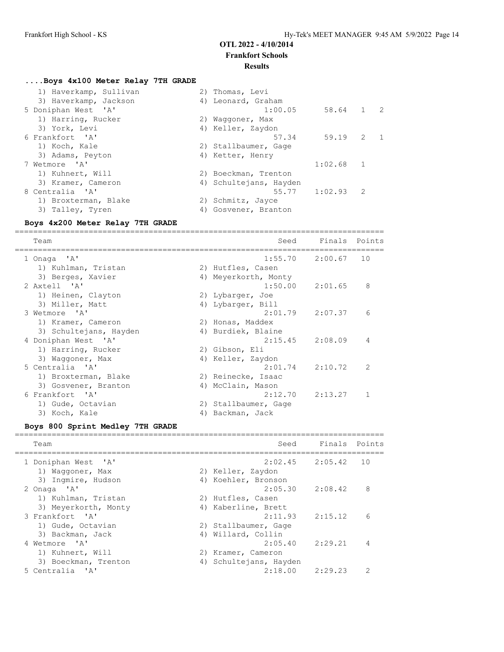## **Results**

| Boys 4x100 Meter Relay 7TH GRADE |                                  |
|----------------------------------|----------------------------------|
| 1) Haverkamp, Sullivan           | 2) Thomas, Levi                  |
| 3) Haverkamp, Jackson            | 4) Leonard, Graham               |
| 5 Doniphan West 'A'              | 1:00.05<br>58.64 1 2             |
| 1) Harring, Rucker               | 2) Waqqoner, Max                 |
| 3) York, Levi                    | 4) Keller, Zaydon                |
| 6 Frankfort, 'A'                 | $\overline{2}$<br>59.19<br>57.34 |
| 1) Koch, Kale                    | 2) Stallbaumer, Gage             |
| 3) Adams, Peyton                 | 4) Ketter, Henry                 |
| 7 Wetmore 'A'                    | 1<br>1:02.68                     |
| 1) Kuhnert, Will                 | 2) Boeckman, Trenton             |
| 3) Kramer, Cameron               | 4) Schultejans, Hayden           |
| 8 Centralia 'A'                  | $55.77$ 1:02.93<br>2             |
| 1) Broxterman, Blake             | 2) Schmitz, Jayce                |
| 3) Talley, Tyren                 | 4) Gosvener, Branton             |

## **Boys 4x200 Meter Relay 7TH GRADE**

================================================================================ Team Seed Finals Points ================================================================================ 1 Onaga 'A' 1:55.70 2:00.67 10 1) Kuhlman, Tristan 1988 (2018) 20 Hutfles, Casen 3) Berges, Xavier 1988 (4) Meyerkorth, Monty 2 Axtell 'A' 1:50.00 2:01.65 8 1) Heinen, Clayton 2) Lybarger, Joe 3) Miller, Matt 4) Lybarger, Bill 3 Wetmore 'A' 2:01.79 2:07.37 6 1) Kramer, Cameron 2) Honas, Maddex 3) Schultejans, Hayden (4) Burdiek, Blaine 4 Doniphan West 'A' 2:15.45 2:08.09 4 1) Harring, Rucker 2) Gibson, Eli 3) Waggoner, Max  $4)$  Keller, Zaydon 5 Centralia 'A' 2:01.74 2:10.72 2 1) Broxterman, Blake 2) Reinecke, Isaac 3) Gosvener, Branton (4) McClain, Mason 6 Frankfort 'A' 2:12.70 2:13.27 1 1) Gude, Octavian 2) Stallbaumer, Gage 3) Koch, Kale (4) Backman, Jack

#### **Boys 800 Sprint Medley 7TH GRADE**

| Team                 | Seed                   | Finals Points |               |
|----------------------|------------------------|---------------|---------------|
| 1 Doniphan West 'A'  | $2:02.45$ $2:05.42$    |               | 10            |
| 1) Waqqoner, Max     | 2) Keller, Zaydon      |               |               |
| 3) Ingmire, Hudson   | 4) Koehler, Bronson    |               |               |
| 2 Onaga 'A'          | $2:05.30$ $2:08.42$    |               | 8             |
| 1) Kuhlman, Tristan  | 2) Hutfles, Casen      |               |               |
| 3) Meyerkorth, Monty | 4) Kaberline, Brett    |               |               |
| 3 Frankfort, 'A'     | $2:11.93$ $2:15.12$    |               | 6             |
| 1) Gude, Octavian    | 2) Stallbaumer, Gage   |               |               |
| 3) Backman, Jack     | 4) Willard, Collin     |               |               |
| 4 Wetmore 'A'        | $2:05.40$ $2:29.21$    |               | 4             |
| 1) Kuhnert, Will     | 2) Kramer, Cameron     |               |               |
| 3) Boeckman, Trenton | 4) Schultejans, Hayden |               |               |
| 5 Centralia 'A'      | $2:18.00$ $2:29.23$    |               | $\mathcal{D}$ |
|                      |                        |               |               |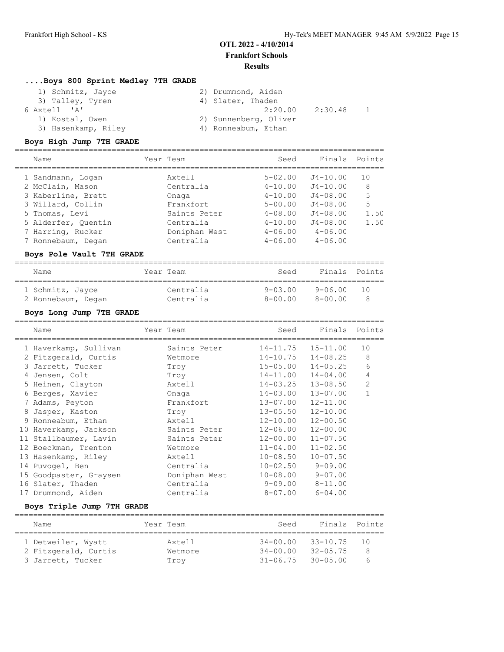## **....Boys 800 Sprint Medley 7TH GRADE**

| 1) Schmitz, Jayce   | 2) Drummond, Aiden    |
|---------------------|-----------------------|
| 3) Talley, Tyren    | 4) Slater, Thaden     |
| 6 Axtell 'A'        | 2:30.48<br>2:20.00    |
| 1) Kostal, Owen     | 2) Sunnenberg, Oliver |
| 3) Hasenkamp, Riley | 4) Ronneabum, Ethan   |

#### **Boys High Jump 7TH GRADE**

| Name                                                                                                                                           | Year Team                                                                                | Seed                                                                                                  | Finals Points                                                                                               |                                   |
|------------------------------------------------------------------------------------------------------------------------------------------------|------------------------------------------------------------------------------------------|-------------------------------------------------------------------------------------------------------|-------------------------------------------------------------------------------------------------------------|-----------------------------------|
| 1 Sandmann, Logan<br>2 McClain, Mason<br>3 Kaberline, Brett<br>3 Willard, Collin<br>5 Thomas, Levi<br>5 Alderfer, Ouentin<br>7 Harring, Rucker | Axtell<br>Centralia<br>Onaga<br>Frankfort.<br>Saints Peter<br>Centralia<br>Doniphan West | $5 - 02.00$<br>$4 - 10.00$<br>$4 - 10.00$<br>$5 - 00.00$<br>$4 - 08.00$<br>$4 - 10.00$<br>$4 - 06.00$ | $J4 - 10.00$<br>$J4 - 10.00$<br>$J4 - 08.00$<br>$J4 - 08.00$<br>$J4 - 08.00$<br>$J4 - 08.00$<br>$4 - 06.00$ | 10<br>8<br>5<br>5<br>1.50<br>1.50 |
| 7 Ronnebaum, Degan                                                                                                                             | Centralia                                                                                | $4 - 06.00$                                                                                           | $4 - 06.00$                                                                                                 |                                   |
|                                                                                                                                                |                                                                                          |                                                                                                       |                                                                                                             |                                   |

#### **Boys Pole Vault 7TH GRADE**

| Name               | Year Team | Seed           | Finals Points |       |
|--------------------|-----------|----------------|---------------|-------|
| 1 Schmitz, Jayce   | Centralia | $9 - 0.3$ , 00 | 9-06.00       | ີ 1 ∩ |
| 2 Ronnebaum, Degan | Centralia | $8 - 00.00$    | $8 - 00.00$   |       |

## **Boys Long Jump 7TH GRADE**

|   | Name                   | Year Team     | Seed         | Finals Points |                |
|---|------------------------|---------------|--------------|---------------|----------------|
|   | 1 Haverkamp, Sullivan  | Saints Peter  | 14-11.75     | $15 - 11.00$  | 10             |
|   | 2 Fitzgerald, Curtis   | Wetmore       | $14 - 10.75$ | $14 - 08.25$  | 8              |
|   | 3 Jarrett, Tucker      | Troy          | $15 - 05.00$ | $14 - 05.25$  | 6              |
|   | 4 Jensen, Colt         | Troy          | $14 - 11.00$ | $14 - 04.00$  | 4              |
|   | 5 Heinen, Clayton      | Axtell        | $14 - 03.25$ | $13 - 08.50$  | $\overline{2}$ |
|   | 6 Berges, Xavier       | Onaga         | $14 - 03.00$ | $13 - 07.00$  | $\mathbf{1}$   |
|   | 7 Adams, Peyton        | Frankfort     | 13-07.00     | $12 - 11.00$  |                |
| 8 | Jasper, Kaston         | Troy          | $13 - 05.50$ | $12 - 10.00$  |                |
|   | 9 Ronneabum, Ethan     | Axtell        | $12 - 10.00$ | $12 - 00.50$  |                |
|   | 10 Haverkamp, Jackson  | Saints Peter  | $12 - 06.00$ | $12 - 00.00$  |                |
|   | 11 Stallbaumer, Lavin  | Saints Peter  | $12 - 00.00$ | $11 - 07.50$  |                |
|   | 12 Boeckman, Trenton   | Wetmore       | $11 - 04.00$ | $11 - 02.50$  |                |
|   | 13 Hasenkamp, Riley    | Axtell        | $10 - 08.50$ | $10 - 07.50$  |                |
|   | 14 Puvogel, Ben        | Centralia     | $10 - 02.50$ | $9 - 09.00$   |                |
|   | 15 Goodpaster, Graysen | Doniphan West | $10 - 08.00$ | $9 - 07.00$   |                |
|   | 16 Slater, Thaden      | Centralia     | 9-09.00      | $8 - 11.00$   |                |
|   | 17 Drummond, Aiden     | Centralia     | $8 - 07.00$  | $6 - 04.00$   |                |
|   |                        |               |              |               |                |

#### **Boys Triple Jump 7TH GRADE**

| Name                 | Year Team | Seed                      | Finals Points   |    |  |  |  |  |
|----------------------|-----------|---------------------------|-----------------|----|--|--|--|--|
| 1 Detweiler, Wyatt   | Axtell    | $34 - 00.00$              | $33 - 10.75$    | 10 |  |  |  |  |
| 2 Fitzgerald, Curtis | Wetmore   | $34 - 00.00$              | $32 - 0.5$ . 75 | 8  |  |  |  |  |
| 3 Jarrett, Tucker    | Trov      | $31 - 06.75$ $30 - 05.00$ |                 | h  |  |  |  |  |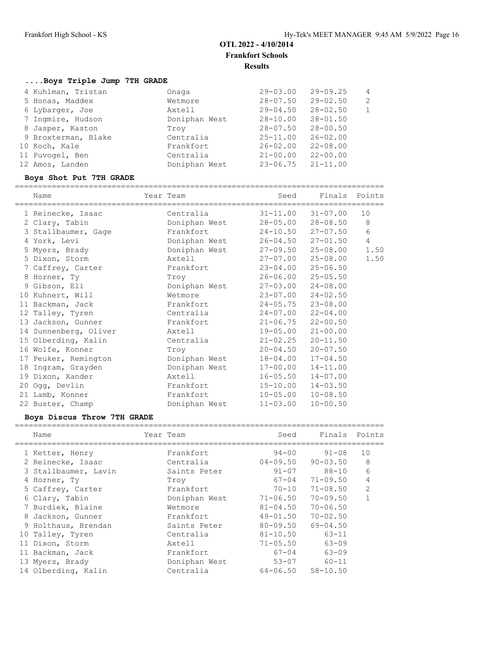## **....Boys Triple Jump 7TH GRADE**

| Onaga                                                                                                                                                                           | $29 - 03.00$ | $29 - 09.25$ | $\overline{4}$ |
|---------------------------------------------------------------------------------------------------------------------------------------------------------------------------------|--------------|--------------|----------------|
| Wetmore                                                                                                                                                                         | $28 - 07.50$ | $29 - 02.50$ | $\overline{2}$ |
| Axtell                                                                                                                                                                          | $29 - 04.50$ | $28 - 02.50$ | $\mathbf{1}$   |
| Doniphan West                                                                                                                                                                   | $28 - 10.00$ | $28 - 01.50$ |                |
| Trov                                                                                                                                                                            | $28 - 07.50$ | $28 - 00.50$ |                |
| Centralia                                                                                                                                                                       | $25 - 11.00$ | $26 - 02.00$ |                |
| Frankfort                                                                                                                                                                       | $26 - 02.00$ | $22 - 08.00$ |                |
| Centralia                                                                                                                                                                       | $21 - 00.00$ | $22 - 00.00$ |                |
| Doniphan West                                                                                                                                                                   | $23 - 06.75$ | $21 - 11.00$ |                |
| 4 Kuhlman, Tristan<br>5 Honas, Maddex<br>6 Lybarger, Joe<br>7 Ingmire, Hudson<br>8 Jasper, Kaston<br>9 Broxterman, Blake<br>10 Koch, Kale<br>11 Puvogel, Ben<br>12 Amos, Landen |              |              |                |

## **Boys Shot Put 7TH GRADE**

| Name                  | Year Team     |              | Seed |              | Finals Points |
|-----------------------|---------------|--------------|------|--------------|---------------|
| 1 Reinecke, Isaac     | Centralia     | $31 - 11.00$ |      | $31 - 07.00$ | 10            |
| 2 Clary, Tabin        | Doniphan West | $28 - 05.00$ |      | $28 - 08.50$ | 8             |
| 3 Stallbaumer, Gage   | Frankfort     | $24 - 10.50$ |      | $27 - 07.50$ | 6             |
| 4 York, Levi          | Doniphan West | 26-04.50     |      | $27 - 01.50$ | 4             |
| 5 Myers, Brady        | Doniphan West | 27-09.50     |      | $25 - 08.00$ | 1.50          |
| 5 Dixon, Storm        | Axtell        | 27-07.00     |      | $25 - 08.00$ | 1.50          |
| 7 Caffrey, Carter     | Frankfort     | $23 - 04.00$ |      | $25 - 06.50$ |               |
| 8 Horner, Ty          | Troy          | 26-06.00     |      | $25 - 05.50$ |               |
| 9 Gibson, Eli         | Doniphan West | $27 - 03.00$ |      | $24 - 08.00$ |               |
| 10 Kuhnert, Will      | Wetmore       | $23 - 07.00$ |      | $24 - 02.50$ |               |
| 11 Backman, Jack      | Frankfort     | $24 - 05.75$ |      | $23 - 08.00$ |               |
| 12 Talley, Tyren      | Centralia     | $24 - 07.00$ |      | $22 - 04.00$ |               |
| 13 Jackson, Gunner    | Frankfort     | $21 - 06.75$ |      | $22 - 00.50$ |               |
| 14 Sunnenberg, Oliver | Axtell        | 19-05.00     |      | $21 - 00.00$ |               |
| 15 Olberding, Kalin   | Centralia     | $21 - 02.25$ |      | $20 - 11.50$ |               |
| 16 Wolfe, Konner      | Troy          | $20 - 04.50$ |      | $20 - 07.50$ |               |
| 17 Peuker, Remington  | Doniphan West | 18-04.00     |      | $17 - 04.50$ |               |
| 18 Ingram, Grayden    | Doniphan West | 17-00.00     |      | $14 - 11.00$ |               |
| 19 Dixon, Xander      | Axtell        | $16 - 05.50$ |      | $14 - 07.00$ |               |
| 20 Ogg, Devlin        | Frankfort     | $15 - 10.00$ |      | $14 - 03.50$ |               |
| 21 Lamb, Konner       | Frankfort     | $10 - 05.00$ |      | $10 - 08.50$ |               |
| 22 Buster, Champ      | Doniphan West | $11 - 03.00$ |      | $10 - 00.50$ |               |

## **Boys Discus Throw 7TH GRADE**

| Name                 | Year Team     | Seed         | Finals       | Points         |
|----------------------|---------------|--------------|--------------|----------------|
| 1 Ketter, Henry      | Frankfort     | $94 - 00$    | $91 - 08$    | 10             |
| 2 Reinecke, Isaac    | Centralia     | 04-09.50     | $90 - 03.50$ | 8              |
| 3 Stallbaumer, Lavin | Saints Peter  | $91 - 07$    | 88-10        | 6              |
| 4 Horner, Ty         | Troy          | 67-04        | $71 - 09.50$ | 4              |
| 5 Caffrey, Carter    | Frankfort     | $70 - 10$    | $71 - 08.50$ | $\overline{2}$ |
| 6 Clary, Tabin       | Doniphan West | $71 - 06.50$ | $70 - 09.50$ | 1              |
| 7 Burdiek, Blaine    | Wetmore       | $81 - 04.50$ | $70 - 06.50$ |                |
| 8 Jackson, Gunner    | Frankfort     | $49 - 01.50$ | $70 - 02.50$ |                |
| 9 Holthaus, Brendan  | Saints Peter  | $80 - 09.50$ | $69 - 04.50$ |                |
| 10 Talley, Tyren     | Centralia     | $81 - 10.50$ | $63 - 11$    |                |
| 11 Dixon, Storm      | Axtell        | $71 - 05.50$ | 63-09        |                |
| 11 Backman, Jack     | Frankfort     | $67 - 04$    | $63 - 09$    |                |
| 13 Myers, Brady      | Doniphan West | $53 - 07$    | $60 - 11$    |                |
| 14 Olberding, Kalin  | Centralia     | 64-06.50     | $58 - 10.50$ |                |
|                      |               |              |              |                |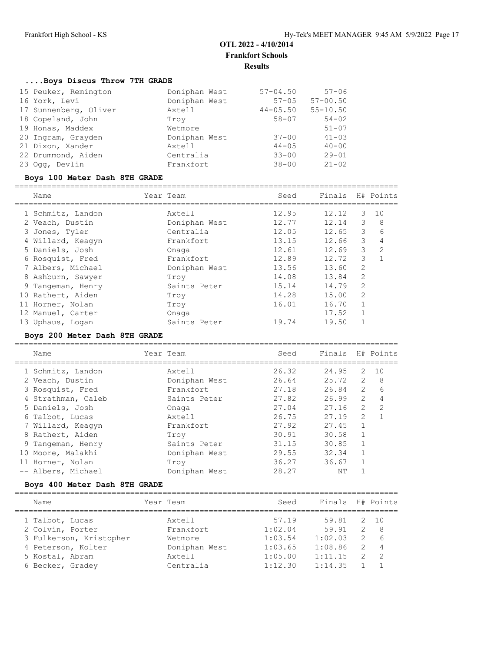===================================================================================

## **....Boys Discus Throw 7TH GRADE**

| 15 Peuker, Remington  | Doniphan West | $57 - 04.50$ | $57 - 06$    |
|-----------------------|---------------|--------------|--------------|
| 16 York, Levi         | Doniphan West | $57 - 05$    | $57 - 00.50$ |
| 17 Sunnenberg, Oliver | Axtell        | $44 - 05.50$ | $55 - 10.50$ |
| 18 Copeland, John     | Trov          | $58 - 07$    | $54 - 02$    |
| 19 Honas, Maddex      | Wetmore       |              | $51 - 07$    |
| 20 Ingram, Grayden    | Doniphan West | $37 - 00$    | $41 - 03$    |
| 21 Dixon, Xander      | Axtell        | $44 - 05$    | $40 - 00$    |
| 22 Drummond, Aiden    | Centralia     | $33 - 00$    | $29 - 01$    |
| 23 Ogg, Devlin        | Frankfort     | $38 - 00$    | $21 - 02$    |

#### **Boys 100 Meter Dash 8TH GRADE**

| Name              | Year Team     | Seed  | Finals |                | H# Points     |
|-------------------|---------------|-------|--------|----------------|---------------|
| 1 Schmitz, Landon | Axtell        | 12.95 | 12.12  | 3              | 10            |
| 2 Veach, Dustin   | Doniphan West | 12.77 | 12.14  | 3              | 8             |
| 3 Jones, Tyler    | Centralia     | 12.05 | 12.65  | 3              | 6             |
| 4 Willard, Keagyn | Frankfort     | 13.15 | 12.66  | 3              | 4             |
| 5 Daniels, Josh   | Onaga         | 12.61 | 12.69  | 3              | $\mathcal{L}$ |
| 6 Rosquist, Fred  | Frankfort     | 12.89 | 12.72  | 3              | 1             |
| 7 Albers, Michael | Doniphan West | 13.56 | 13.60  | 2              |               |
| 8 Ashburn, Sawyer | Trov          | 14.08 | 13.84  | $\overline{2}$ |               |
| 9 Tangeman, Henry | Saints Peter  | 15.14 | 14.79  | $\mathfrak{D}$ |               |
| 10 Rathert, Aiden | Trov          | 14.28 | 15.00  | 2              |               |
| 11 Horner, Nolan  | Troy          | 16.01 | 16.70  | 1              |               |
| 12 Manuel, Carter | Onaga         |       | 17.52  |                |               |
| 13 Uphaus, Logan  | Saints Peter  | 19.74 | 19.50  |                |               |
|                   |               |       |        |                |               |

#### **Boys 200 Meter Dash 8TH GRADE**

| Name               | Year Team |               | Seed  |       |               | Finals H# Points |
|--------------------|-----------|---------------|-------|-------|---------------|------------------|
| 1 Schmitz, Landon  |           | Axtell        | 26.32 | 24.95 | 2             | 1 O              |
| 2 Veach, Dustin    |           | Doniphan West | 26.64 | 25.72 | $\mathcal{L}$ | 8                |
| 3 Rosquist, Fred   |           | Frankfort     | 27.18 | 26.84 | $\mathcal{L}$ | 6                |
| 4 Strathman, Caleb |           | Saints Peter  | 27.82 | 26.99 | $\mathcal{L}$ | 4                |
| 5 Daniels, Josh    |           | Onaga         | 27.04 | 27.16 | $\mathcal{L}$ | 2                |
| 6 Talbot, Lucas    |           | Axtell        | 26.75 | 27.19 | $\mathcal{L}$ | 1                |
| 7 Willard, Keagyn  |           | Frankfort     | 27.92 | 27.45 | $\mathbf{1}$  |                  |
| 8 Rathert, Aiden   |           | Trov          | 30.91 | 30.58 | $\mathbf{1}$  |                  |
| 9 Tangeman, Henry  |           | Saints Peter  | 31.15 | 30.85 | $\mathbf{1}$  |                  |
| 10 Moore, Malakhi  |           | Doniphan West | 29.55 | 32.34 | $\mathbf{1}$  |                  |
| 11 Horner, Nolan   |           | Troy          | 36.27 | 36.67 |               |                  |
| -- Albers, Michael |           | Doniphan West | 28.27 | ΝT    |               |                  |

## **Boys 400 Meter Dash 8TH GRADE**

| Name                    | Year Team     | Seed    |         | Finals        | H# Points      |
|-------------------------|---------------|---------|---------|---------------|----------------|
| 1 Talbot, Lucas         | Axtell        | 57.19   |         | 59.81<br>2    | 10             |
| 2 Colvin, Porter        | Frankfort.    | 1:02.04 |         | 59.91         | -8             |
| 3 Fulkerson, Kristopher | Wetmore       | 1:03.54 | 1:02.03 |               | -6             |
| 4 Peterson, Kolter      | Doniphan West | 1:03.65 | 1:08.86 | $\mathcal{P}$ | $\overline{4}$ |
| 5 Kostal, Abram         | Axtell        | 1:05.00 | 1:11.15 |               | $\mathcal{L}$  |
| 6 Becker, Gradey        | Centralia     | 1:12.30 | 1:14.35 |               |                |
|                         |               |         |         |               |                |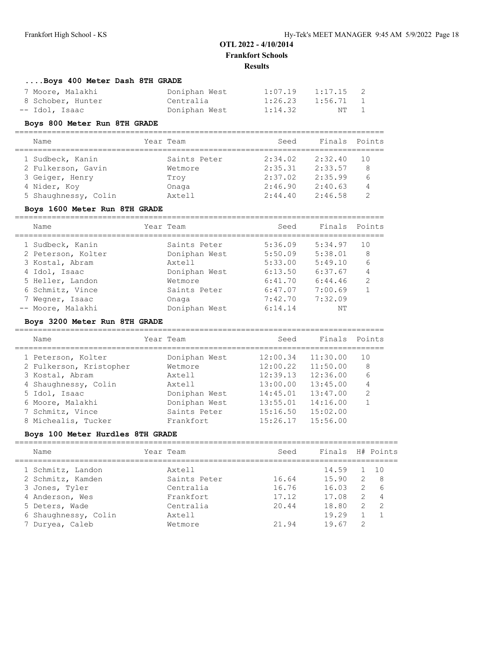================================================================================

## **....Boys 400 Meter Dash 8TH GRADE**

| 7 Moore, Malakhi  | Doniphan West | 1:07.19 | 1:17.15     | $\overline{2}$ |
|-------------------|---------------|---------|-------------|----------------|
| 8 Schober, Hunter | Centralia     | 1:26.23 | $1:56.71$ 1 |                |
| -- Idol, Isaac    | Doniphan West | 1:14.32 | NT 1        |                |

#### **Boys 800 Meter Run 8TH GRADE**

| Name                 | Year Team    | Seed    | Finals Points |     |
|----------------------|--------------|---------|---------------|-----|
| 1 Sudbeck, Kanin     | Saints Peter | 2:34.02 | 2:32.40       | 1 O |
| 2 Fulkerson, Gavin   | Wetmore      | 2:35.31 | 2:33.57       | 8   |
| 3 Geiger, Henry      | Trov         | 2:37.02 | 2:35.99       | 6   |
| 4 Nider, Koy         | Onaga        | 2:46.90 | 2:40.63       | 4   |
| 5 Shaughnessy, Colin | Axtell       | 2:44.40 | 2:46.58       |     |

#### **Boys 1600 Meter Run 8TH GRADE**

| Name               | Year Team     | Seed    | Finals Points |               |
|--------------------|---------------|---------|---------------|---------------|
| 1 Sudbeck, Kanin   | Saints Peter  | 5:36.09 | 5:34.97       | 10            |
| 2 Peterson, Kolter | Doniphan West | 5:50.09 | 5:38.01       | 8             |
| 3 Kostal, Abram    | Axtell        | 5:33.00 | 5:49.10       | 6             |
| 4 Idol, Isaac      | Doniphan West | 6:13.50 | 6:37.67       | 4             |
| 5 Heller, Landon   | Wetmore       | 6:41.70 | 6:44.46       | $\mathcal{L}$ |
| 6 Schmitz, Vince   | Saints Peter  | 6:47.07 | 7:00.69       |               |
| 7 Wegner, Isaac    | Onaga         | 7:42.70 | 7:32.09       |               |
| -- Moore, Malakhi  | Doniphan West | 6:14.14 | NΤ            |               |

## **Boys 3200 Meter Run 8TH GRADE**

| Name                    | Year Team     | Seed     | Finals   | Points       |
|-------------------------|---------------|----------|----------|--------------|
| 1 Peterson, Kolter      | Doniphan West | 12:00.34 | 11:30.00 | 1 O          |
| 2 Fulkerson, Kristopher | Wetmore       | 12:00.22 | 11:50.00 | 8            |
| 3 Kostal, Abram         | Axtell        | 12:39.13 | 12:36.00 | 6            |
| 4 Shaughnessy, Colin    | Axtell        | 13:00.00 | 13:45.00 | 4            |
| 5 Idol, Isaac           | Doniphan West | 14:45.01 | 13:47.00 | 2            |
| 6 Moore, Malakhi        | Doniphan West | 13:55.01 | 14:16.00 | $\mathbf{1}$ |
| 7 Schmitz, Vince        | Saints Peter  | 15:16.50 | 15:02.00 |              |
| 8 Michealis, Tucker     | Frankfort.    | 15:26.17 | 15:56.00 |              |

## **Boys 100 Meter Hurdles 8TH GRADE**

| Name                 | Year Team    | Seed  | Finals H# Points |               |                |
|----------------------|--------------|-------|------------------|---------------|----------------|
| 1 Schmitz, Landon    | Axtell       |       | 14.59            |               | 1 10           |
| 2 Schmitz, Kamden    | Saints Peter | 16.64 | 15.90            | $\mathcal{L}$ | - 8            |
| 3 Jones, Tyler       | Centralia    | 16.76 | 16.03            | 2             | 6              |
| 4 Anderson, Wes      | Frankfort.   | 17.12 | 17.08            | $\mathcal{P}$ | $\overline{4}$ |
| 5 Deters, Wade       | Centralia    | 20.44 | 18.80            | $\mathcal{P}$ | $\mathcal{P}$  |
| 6 Shaughnessy, Colin | Axtell       |       | 19.29            |               |                |
| 7 Duryea, Caleb      | Wetmore      | 21.94 | 19.67            | $\mathcal{L}$ |                |
|                      |              |       |                  |               |                |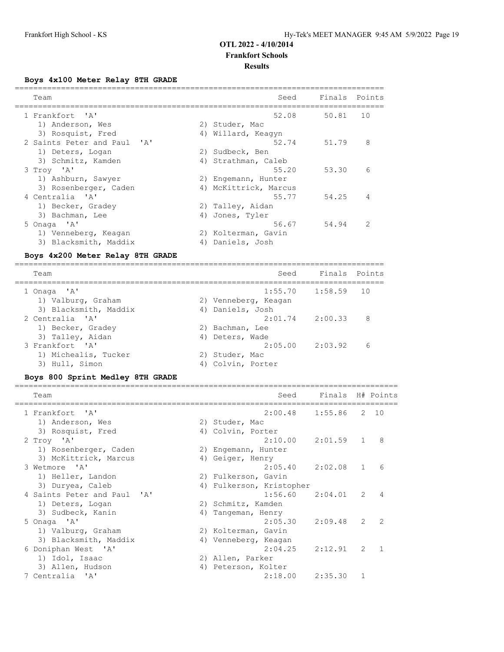# **OTL 2022 - 4/10/2014**

# **Frankfort Schools**

## **Results**

# **Boys 4x100 Meter Relay 8TH GRADE**

|                                                                                                                                                                                                                                                                                              |                                                                                                                                                                                                                                                                                                                                                                                        | ========                    |                   |
|----------------------------------------------------------------------------------------------------------------------------------------------------------------------------------------------------------------------------------------------------------------------------------------------|----------------------------------------------------------------------------------------------------------------------------------------------------------------------------------------------------------------------------------------------------------------------------------------------------------------------------------------------------------------------------------------|-----------------------------|-------------------|
| Team<br>===============================                                                                                                                                                                                                                                                      | Seed                                                                                                                                                                                                                                                                                                                                                                                   | Finals                      | Points            |
| ' A'<br>1 Frankfort                                                                                                                                                                                                                                                                          | 52.08                                                                                                                                                                                                                                                                                                                                                                                  | ==================<br>50.81 | 10                |
| 1) Anderson, Wes                                                                                                                                                                                                                                                                             | 2) Studer, Mac                                                                                                                                                                                                                                                                                                                                                                         |                             |                   |
| 3) Rosquist, Fred                                                                                                                                                                                                                                                                            | 4) Willard, Keagyn                                                                                                                                                                                                                                                                                                                                                                     |                             |                   |
| 2 Saints Peter and Paul<br>'A'                                                                                                                                                                                                                                                               | 52.74                                                                                                                                                                                                                                                                                                                                                                                  | 51.79                       | 8                 |
| 1) Deters, Logan                                                                                                                                                                                                                                                                             | 2) Sudbeck, Ben                                                                                                                                                                                                                                                                                                                                                                        |                             |                   |
| 3) Schmitz, Kamden                                                                                                                                                                                                                                                                           | 4) Strathman, Caleb                                                                                                                                                                                                                                                                                                                                                                    |                             |                   |
| 3 Troy 'A'                                                                                                                                                                                                                                                                                   | 55.20                                                                                                                                                                                                                                                                                                                                                                                  | 53.30                       | 6                 |
| 1) Ashburn, Sawyer                                                                                                                                                                                                                                                                           | 2) Engemann, Hunter                                                                                                                                                                                                                                                                                                                                                                    |                             |                   |
| 3) Rosenberger, Caden                                                                                                                                                                                                                                                                        | 4) McKittrick, Marcus                                                                                                                                                                                                                                                                                                                                                                  |                             |                   |
| 4 Centralia<br>' A'                                                                                                                                                                                                                                                                          | 55.77                                                                                                                                                                                                                                                                                                                                                                                  | 54.25                       | 4                 |
| 1) Becker, Gradey                                                                                                                                                                                                                                                                            | 2) Talley, Aidan                                                                                                                                                                                                                                                                                                                                                                       |                             |                   |
| 3) Bachman, Lee                                                                                                                                                                                                                                                                              | 4) Jones, Tyler                                                                                                                                                                                                                                                                                                                                                                        |                             |                   |
| 5 Onaga 'A'                                                                                                                                                                                                                                                                                  | 56.67                                                                                                                                                                                                                                                                                                                                                                                  | 54.94                       | 2                 |
| 1) Venneberg, Keagan                                                                                                                                                                                                                                                                         | 2) Kolterman, Gavin                                                                                                                                                                                                                                                                                                                                                                    |                             |                   |
| 3) Blacksmith, Maddix                                                                                                                                                                                                                                                                        | 4) Daniels, Josh                                                                                                                                                                                                                                                                                                                                                                       |                             |                   |
| Boys 4x200 Meter Relay 8TH GRADE                                                                                                                                                                                                                                                             |                                                                                                                                                                                                                                                                                                                                                                                        |                             |                   |
|                                                                                                                                                                                                                                                                                              |                                                                                                                                                                                                                                                                                                                                                                                        |                             |                   |
| Team                                                                                                                                                                                                                                                                                         | Seed                                                                                                                                                                                                                                                                                                                                                                                   | Finals                      | Points            |
| 1 Onaga<br>$\mathsf{A}$                                                                                                                                                                                                                                                                      | 1:55.70                                                                                                                                                                                                                                                                                                                                                                                | 1:58.59                     | 10                |
| 1) Valburg, Graham                                                                                                                                                                                                                                                                           | 2) Venneberg, Keagan                                                                                                                                                                                                                                                                                                                                                                   |                             |                   |
| 3) Blacksmith, Maddix                                                                                                                                                                                                                                                                        | 4) Daniels, Josh                                                                                                                                                                                                                                                                                                                                                                       |                             |                   |
| 2 Centralia<br>$^{\prime}$ A $^{\prime}$                                                                                                                                                                                                                                                     | 2:01.74                                                                                                                                                                                                                                                                                                                                                                                | 2:00.33                     | 8                 |
| 1) Becker, Gradey                                                                                                                                                                                                                                                                            | 2) Bachman, Lee                                                                                                                                                                                                                                                                                                                                                                        |                             |                   |
| 3) Talley, Aidan                                                                                                                                                                                                                                                                             | 4) Deters, Wade                                                                                                                                                                                                                                                                                                                                                                        |                             |                   |
| 3 Frankfort<br>$\mathsf{A}$                                                                                                                                                                                                                                                                  | 2:05.00                                                                                                                                                                                                                                                                                                                                                                                | 2:03.92                     | 6                 |
| 1) Michealis, Tucker                                                                                                                                                                                                                                                                         | 2) Studer, Mac                                                                                                                                                                                                                                                                                                                                                                         |                             |                   |
| 3) Hull, Simon                                                                                                                                                                                                                                                                               | 4) Colvin, Porter                                                                                                                                                                                                                                                                                                                                                                      |                             |                   |
| <b>Boys 800 Sprint Medley 8TH GRADE</b>                                                                                                                                                                                                                                                      |                                                                                                                                                                                                                                                                                                                                                                                        |                             |                   |
| Team                                                                                                                                                                                                                                                                                         | Seed                                                                                                                                                                                                                                                                                                                                                                                   | Finals                      | H# Points         |
|                                                                                                                                                                                                                                                                                              |                                                                                                                                                                                                                                                                                                                                                                                        |                             |                   |
| $^{\prime}$ A $^{\prime}$<br>1 Frankfort                                                                                                                                                                                                                                                     | 2:00.48                                                                                                                                                                                                                                                                                                                                                                                | 1:55.86                     | 2<br>10           |
| 1) Anderson, Wes                                                                                                                                                                                                                                                                             | 2) Studer, Mac                                                                                                                                                                                                                                                                                                                                                                         |                             |                   |
| 3) Rosquist, Fred                                                                                                                                                                                                                                                                            | 4) Colvin, Porter                                                                                                                                                                                                                                                                                                                                                                      |                             |                   |
| 2 Troy 'A'                                                                                                                                                                                                                                                                                   | 2:10.00                                                                                                                                                                                                                                                                                                                                                                                | 2:01.59                     | 8<br>$\mathbf{1}$ |
| 1) Rosenberger, Caden<br>$21.56 - 36 = 77.2 + 1.25 + 1.25 + 1.25 + 1.25 + 1.25 + 1.25 + 1.25 + 1.25 + 1.25 + 1.25 + 1.25 + 1.25 + 1.25 + 1.25 + 1.25 + 1.25 + 1.25 + 1.25 + 1.25 + 1.25 + 1.25 + 1.25 + 1.25 + 1.25 + 1.25 + 1.25 + 1.25 + 1.25 + 1.25 + 1.25 + 1.25 + 1.25 + 1.25 + 1.25 +$ | 2) Engemann, Hunter<br>$\overline{11}$ $\overline{12}$ $\overline{13}$ $\overline{14}$ $\overline{15}$ $\overline{15}$ $\overline{15}$ $\overline{15}$ $\overline{15}$ $\overline{15}$ $\overline{15}$ $\overline{15}$ $\overline{15}$ $\overline{15}$ $\overline{15}$ $\overline{15}$ $\overline{15}$ $\overline{15}$ $\overline{15}$ $\overline{15}$ $\overline{15}$ $\overline{15}$ |                             |                   |
|                                                                                                                                                                                                                                                                                              |                                                                                                                                                                                                                                                                                                                                                                                        |                             |                   |

| 2 Troy 'A'                  | 2:10.00                  | 2:01.59 1     |   | - 8            |
|-----------------------------|--------------------------|---------------|---|----------------|
| 1) Rosenberger, Caden       | 2) Engemann, Hunter      |               |   |                |
| 3) McKittrick, Marcus       | 4) Geiger, Henry         |               |   |                |
| 3 Wetmore 'A'               | $2:05.40$ $2:02.08$ 1    |               |   | - 6            |
| 1) Heller, Landon           | 2) Fulkerson, Gavin      |               |   |                |
| 3) Duryea, Caleb            | 4) Fulkerson, Kristopher |               |   |                |
| 4 Saints Peter and Paul 'A' | 1:56.60                  | $2:04.01$ 2 4 |   |                |
| 1) Deters, Logan            | 2) Schmitz, Kamden       |               |   |                |
| 3) Sudbeck, Kanin           | 4) Tangeman, Henry       |               |   |                |
| 5 Onaga 'A'                 | 2:05.30                  | $2:09.48$ 2 2 |   |                |
| 1) Valburg, Graham          | 2) Kolterman, Gavin      |               |   |                |
| 3) Blacksmith, Maddix       | 4) Venneberg, Keagan     |               |   |                |
| 6 Doniphan West 'A'         | 2:04.25                  | 2:12.91       | 2 | $\overline{1}$ |
| 1) Idol, Isaac              | 2) Allen, Parker         |               |   |                |
| 3) Allen, Hudson            | 4) Peterson, Kolter      |               |   |                |
| 7 Centralia 'A'             | 2:18.00                  | 2:35.30       |   |                |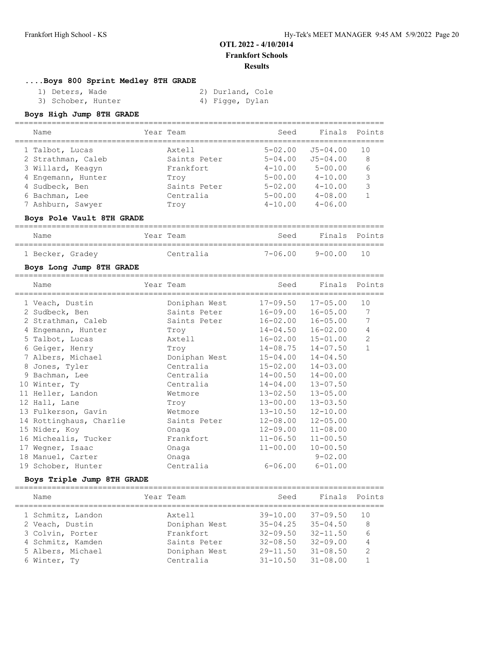## **....Boys 800 Sprint Medley 8TH GRADE**

| 1) Deters, Wade    | 2) Durland, Cole |
|--------------------|------------------|
| 3) Schober, Hunter | 4) Figge, Dylan  |

## **Boys High Jump 8TH GRADE**

| Name               | Year Team    | Seed        |              | Finals Points |
|--------------------|--------------|-------------|--------------|---------------|
| 1 Talbot, Lucas    | Axtell       | $5 - 02.00$ | J5-04.00     | 1 O           |
| 2 Strathman, Caleb | Saints Peter | $5 - 04.00$ | $J5 - 04.00$ | 8             |
| 3 Willard, Keagyn  | Frankfort.   | $4 - 10.00$ | $5 - 00.00$  | 6             |
| 4 Engemann, Hunter | Trov         | $5 - 00.00$ | $4 - 10.00$  | 3             |
| 4 Sudbeck, Ben     | Saints Peter | $5 - 02.00$ | $4 - 10.00$  | 3             |
| 6 Bachman, Lee     | Centralia    | $5 - 00.00$ | $4 - 08.00$  |               |
| 7 Ashburn, Sawyer  | Trov         | $4 - 10.00$ | $4 - 06.00$  |               |

## **Boys Pole Vault 8TH GRADE**

| Name             | Year Team | Seed    | Finals Points |  |
|------------------|-----------|---------|---------------|--|
| 1 Becker, Gradey | Centralia | 7-06.00 | 9-00.00 10    |  |

## **Boys Long Jump 8TH GRADE**

| Name                    | Year Team     | Seed         | Finals Points |              |
|-------------------------|---------------|--------------|---------------|--------------|
| 1 Veach, Dustin         | Doniphan West | $17 - 09.50$ | $17 - 05.00$  | 10           |
| 2 Sudbeck, Ben          | Saints Peter  | $16 - 09.00$ | $16 - 05.00$  | 7            |
| 2 Strathman, Caleb      | Saints Peter  | 16-02.00     | $16 - 05.00$  | 7            |
| 4 Engemann, Hunter      | Troy          | $14 - 04.50$ | $16 - 02.00$  | 4            |
| 5 Talbot, Lucas         | Axtell        | $16 - 02.00$ | $15 - 01.00$  | $\mathbf{2}$ |
| 6 Geiger, Henry         | Troy          | 14-08.75     | $14 - 07.50$  | $\mathbf{1}$ |
| 7 Albers, Michael       | Doniphan West | $15 - 04.00$ | $14 - 04.50$  |              |
| 8 Jones, Tyler          | Centralia     | $15 - 02.00$ | $14 - 03.00$  |              |
| 9 Bachman, Lee          | Centralia     | $14 - 00.50$ | $14 - 00.00$  |              |
| 10 Winter, Ty           | Centralia     | 14-04.00     | $13 - 07.50$  |              |
| 11 Heller, Landon       | Wetmore       | $13 - 02.50$ | $13 - 05.00$  |              |
| 12 Hall, Lane           | Troy          | $13 - 00.00$ | $13 - 03.50$  |              |
| 13 Fulkerson, Gavin     | Wetmore       | $13 - 10.50$ | $12 - 10.00$  |              |
| 14 Rottinghaus, Charlie | Saints Peter  | $12 - 08.00$ | $12 - 05.00$  |              |
| 15 Nider, Koy           | Onaga         | $12 - 09.00$ | $11 - 08.00$  |              |
| 16 Michealis, Tucker    | Frankfort     | $11 - 06.50$ | $11 - 00.50$  |              |
| 17 Wegner, Isaac        | Onaqa         | $11 - 00.00$ | $10 - 00.50$  |              |
| 18 Manuel, Carter       | Onaga         |              | $9 - 02.00$   |              |
| 19 Schober, Hunter      | Centralia     | $6 - 06.00$  | $6 - 01.00$   |              |

#### **Boys Triple Jump 8TH GRADE**

| Name              | Year Team     | Seed         | Finals Points |                |
|-------------------|---------------|--------------|---------------|----------------|
| 1 Schmitz, Landon | Axtell        | $39 - 10.00$ | $37 - 09.50$  | 10             |
| 2 Veach, Dustin   | Doniphan West | $35 - 04.25$ | $35 - 04.50$  | 8              |
| 3 Colvin, Porter  | Frankfort     | $32 - 09.50$ | $32 - 11.50$  | 6              |
| 4 Schmitz, Kamden | Saints Peter  | $32 - 08.50$ | $32 - 09.00$  | 4              |
| 5 Albers, Michael | Doniphan West | $29 - 11.50$ | $31 - 08.50$  | $\overline{2}$ |
| 6 Winter, Ty      | Centralia     | $31 - 10.50$ | $31 - 08.00$  |                |
|                   |               |              |               |                |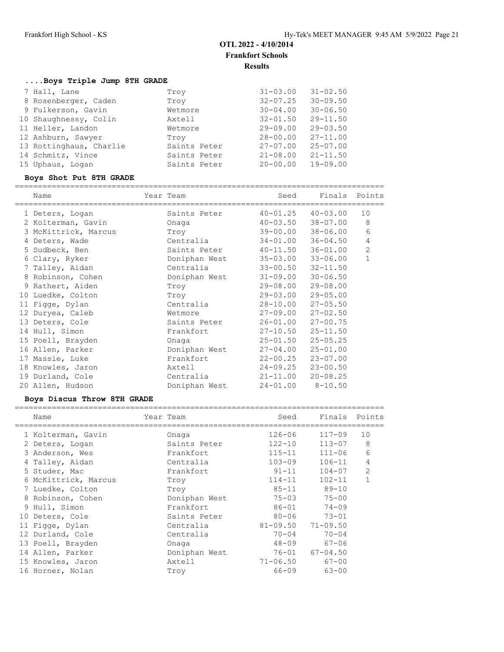## **....Boys Triple Jump 8TH GRADE**

| 7 Hall, Lane            | Troy         | $31 - 03.00$ | $31 - 02.50$ |
|-------------------------|--------------|--------------|--------------|
| 8 Rosenberger, Caden    | Trov         | $32 - 07.25$ | $30 - 09.50$ |
| 9 Fulkerson, Gavin      | Wetmore      | $30 - 04.00$ | $30 - 06.50$ |
| 10 Shaughnessy, Colin   | Axtell       | $32 - 01.50$ | $29 - 11.50$ |
| 11 Heller, Landon       | Wetmore      | $29 - 09.00$ | $29 - 03.50$ |
| 12 Ashburn, Sawyer      | Troy         | $28 - 00.00$ | $27 - 11.00$ |
| 13 Rottinghaus, Charlie | Saints Peter | $27 - 07.00$ | $25 - 07.00$ |
| 14 Schmitz, Vince       | Saints Peter | $21 - 08.00$ | $21 - 11.50$ |
| 15 Uphaus, Logan        | Saints Peter | $20 - 00.00$ | $19 - 09.00$ |

## **Boys Shot Put 8TH GRADE**

| Name                 | Year Team |               | Seed         | Finals       | Points         |
|----------------------|-----------|---------------|--------------|--------------|----------------|
| 1 Deters, Logan      |           | Saints Peter  | $40 - 01.25$ | $40 - 03.00$ | 10             |
| 2 Kolterman, Gavin   |           | Onaga         | $40 - 03.50$ | $38 - 07.00$ | 8              |
| 3 McKittrick, Marcus |           | Troy          | 39-00.00     | 38-06.00     | 6              |
| 4 Deters, Wade       |           | Centralia     | $34 - 01.00$ | $36 - 04.50$ | 4              |
| 5 Sudbeck, Ben       |           | Saints Peter  | $40 - 11.50$ | $36 - 01.00$ | $\overline{c}$ |
| 6 Clary, Ryker       |           | Doniphan West | $35 - 03.00$ | $33 - 06.00$ | 1              |
| 7 Talley, Aidan      |           | Centralia     | $33 - 00.50$ | $32 - 11.50$ |                |
| 8 Robinson, Cohen    |           | Doniphan West | $31 - 09.00$ | $30 - 06.50$ |                |
| 9 Rathert, Aiden     |           | Troy          | 29-08.00     | $29 - 08.00$ |                |
| 10 Luedke, Colton    |           | Troy          | 29-03.00     | $29 - 05.00$ |                |
| 11 Figge, Dylan      |           | Centralia     | 28-10.00     | $27 - 05.50$ |                |
| 12 Duryea, Caleb     |           | Wetmore       | 27-09.00     | $27 - 02.50$ |                |
| 13 Deters, Cole      |           | Saints Peter  | $26 - 01.00$ | $27 - 00.75$ |                |
| 14 Hull, Simon       |           | Frankfort     | $27 - 10.50$ | $25 - 11.50$ |                |
| 15 Poell, Brayden    |           | Onaga         | $25 - 01.50$ | $25 - 05.25$ |                |
| 16 Allen, Parker     |           | Doniphan West | $27 - 04.00$ | $25 - 01.00$ |                |
| 17 Massie, Luke      |           | Frankfort     | $22 - 00.25$ | $23 - 07.00$ |                |
| 18 Knowles, Jaron    |           | Axtell        | $24 - 09.25$ | $23 - 00.50$ |                |
| 19 Durland, Cole     |           | Centralia     | $21 - 11.00$ | $20 - 08.25$ |                |
| 20 Allen, Hudson     |           | Doniphan West | $24 - 01.00$ | $8 - 10.50$  |                |

## **Boys Discus Throw 8TH GRADE**

|    | Name                 | Year Team     | Seed         | Finals       | Points         |
|----|----------------------|---------------|--------------|--------------|----------------|
|    | 1 Kolterman, Gavin   | Onaga         | $126 - 06$   | $117 - 09$   | 10             |
|    | 2 Deters, Logan      | Saints Peter  | $122 - 10$   | $113 - 07$   | 8              |
|    | 3 Anderson, Wes      | Frankfort     | $115 - 11$   | $111 - 06$   | 6              |
|    | 4 Talley, Aidan      | Centralia     | $103 - 09$   | $106 - 11$   | 4              |
|    | 5 Studer, Mac        | Frankfort     | $91 - 11$    | $104 - 07$   | $\overline{2}$ |
|    | 6 McKittrick, Marcus | Troy          | $114 - 11$   | $102 - 11$   | 1              |
|    | 7 Luedke, Colton     | Troy          | $85 - 11$    | $89 - 10$    |                |
|    | 8 Robinson, Cohen    | Doniphan West | $75 - 03$    | $75 - 00$    |                |
|    | 9 Hull, Simon        | Frankfort     | $86 - 01$    | $74 - 09$    |                |
| 10 | Deters, Cole         | Saints Peter  | $80 - 06$    | $73 - 01$    |                |
|    | 11 Figge, Dylan      | Centralia     | $81 - 09.50$ | $71 - 09.50$ |                |
|    | 12 Durland, Cole     | Centralia     | $70 - 04$    | $70 - 04$    |                |
|    | 13 Poell, Brayden    | Onaga         | $48 - 09$    | $67 - 06$    |                |
|    | 14 Allen, Parker     | Doniphan West | 76-01        | $67 - 04.50$ |                |
|    | 15 Knowles, Jaron    | Axtell        | $71 - 06.50$ | $67 - 00$    |                |
|    | 16 Horner, Nolan     | Troy          | $66 - 09$    | $63 - 00$    |                |